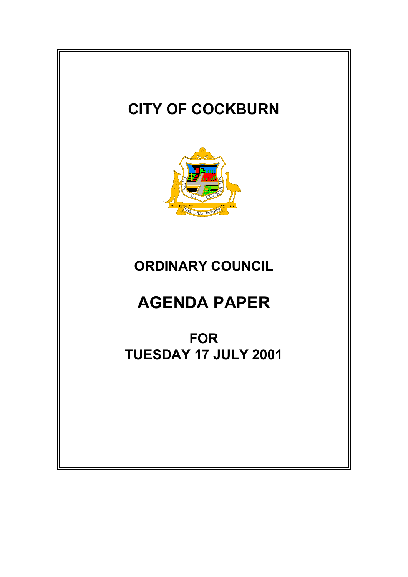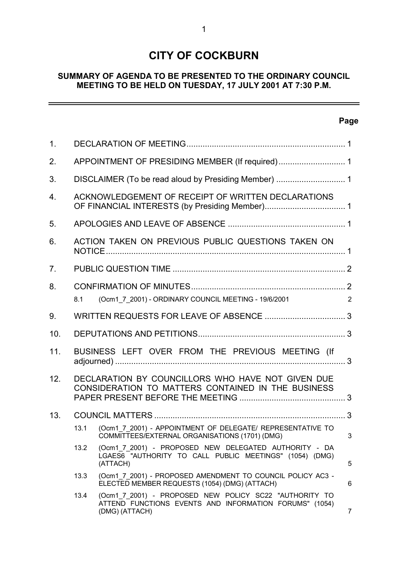# **CITY OF COCKBURN**

# **SUMMARY OF AGENDA TO BE PRESENTED TO THE ORDINARY COUNCIL MEETING TO BE HELD ON TUESDAY, 17 JULY 2001 AT 7:30 P.M.**

# **Page**

 $\equiv$ 

| 1 <sub>1</sub> |                                                                                                         |                                                                                                                                    |   |
|----------------|---------------------------------------------------------------------------------------------------------|------------------------------------------------------------------------------------------------------------------------------------|---|
| 2.             |                                                                                                         |                                                                                                                                    |   |
| 3.             |                                                                                                         |                                                                                                                                    |   |
| 4.             | ACKNOWLEDGEMENT OF RECEIPT OF WRITTEN DECLARATIONS                                                      |                                                                                                                                    |   |
| 5.             |                                                                                                         |                                                                                                                                    |   |
| 6.             | ACTION TAKEN ON PREVIOUS PUBLIC QUESTIONS TAKEN ON                                                      |                                                                                                                                    |   |
| 7.             |                                                                                                         |                                                                                                                                    |   |
| 8.             |                                                                                                         |                                                                                                                                    |   |
|                | 8.1                                                                                                     | (Ocm1_7_2001) - ORDINARY COUNCIL MEETING - 19/6/2001                                                                               | 2 |
| 9.             |                                                                                                         |                                                                                                                                    |   |
| 10.            |                                                                                                         |                                                                                                                                    |   |
| 11.            |                                                                                                         | BUSINESS LEFT OVER FROM THE PREVIOUS MEETING (If                                                                                   |   |
| 12.            | DECLARATION BY COUNCILLORS WHO HAVE NOT GIVEN DUE<br>CONSIDERATION TO MATTERS CONTAINED IN THE BUSINESS |                                                                                                                                    |   |
| 13.            |                                                                                                         |                                                                                                                                    |   |
|                | 13.1                                                                                                    | (Ocm1 7 2001) - APPOINTMENT OF DELEGATE/ REPRESENTATIVE TO<br>COMMITTEES/EXTERNAL ORGANISATIONS (1701) (DMG)                       | 3 |
|                | 13.2                                                                                                    | (Ocm1 7 2001) - PROPOSED NEW DELEGATED AUTHORITY - DA<br>LGAES6 "AUTHORITY TO CALL PUBLIC MEETINGS" (1054) (DMG)<br>(ATTACH)       | 5 |
|                | 13.3                                                                                                    | (Ocm1 7 2001) - PROPOSED AMENDMENT TO COUNCIL POLICY AC3 -<br>ELECTED MEMBER REQUESTS (1054) (DMG) (ATTACH)                        | 6 |
|                | 13.4                                                                                                    | (Ocm1_7_2001) - PROPOSED NEW POLICY SC22 "AUTHORITY TO<br>ATTEND FUNCTIONS EVENTS AND INFORMATION FORUMS" (1054)<br>(DMG) (ATTACH) | 7 |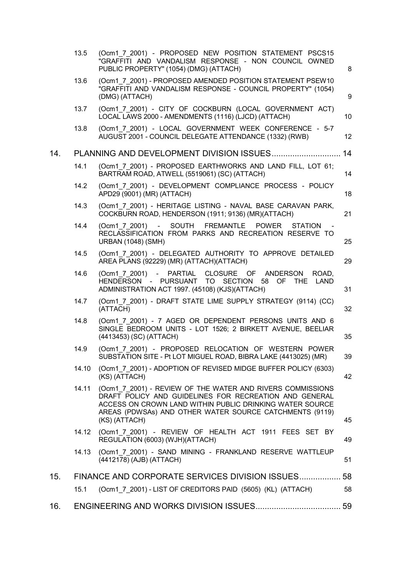|     | 13.5  | (Ocm1 7 2001) - PROPOSED NEW POSITION STATEMENT PSCS15<br>"GRAFFITI AND VANDALISM RESPONSE - NON COUNCIL OWNED<br>PUBLIC PROPERTY" (1054) (DMG) (ATTACH)                                                                                                     | 8  |
|-----|-------|--------------------------------------------------------------------------------------------------------------------------------------------------------------------------------------------------------------------------------------------------------------|----|
|     | 13.6  | (Ocm1 7 2001) - PROPOSED AMENDED POSITION STATEMENT PSEW10<br>"GRAFFITI AND VANDALISM RESPONSE - COUNCIL PROPERTY" (1054)<br>(DMG) (ATTACH)                                                                                                                  | 9  |
|     | 13.7  | (Ocm1 7 2001) - CITY OF COCKBURN (LOCAL GOVERNMENT ACT)<br>LOCAL LAWS 2000 - AMENDMENTS (1116) (LJCD) (ATTACH)                                                                                                                                               | 10 |
|     | 13.8  | (Ocm1 7 2001) - LOCAL GOVERNMENT WEEK CONFERENCE - 5-7<br>AUGUST 2001 - COUNCIL DELEGATE ATTENDANCE (1332) (RWB)                                                                                                                                             | 12 |
| 14. |       |                                                                                                                                                                                                                                                              | 14 |
|     | 14.1  | (Ocm1 7 2001) - PROPOSED EARTHWORKS AND LAND FILL, LOT 61;<br>BARTRAM ROAD, ATWELL (5519061) (SC) (ATTACH)                                                                                                                                                   | 14 |
|     | 14.2  | (Ocm1 7 2001) - DEVELOPMENT COMPLIANCE PROCESS - POLICY<br>APD29 (9001) (MR) (ATTACH)                                                                                                                                                                        | 18 |
|     | 14.3  | (Ocm1 7 2001) - HERITAGE LISTING - NAVAL BASE CARAVAN PARK,<br>COCKBURN ROAD, HENDERSON (1911; 9136) (MR)(ATTACH)                                                                                                                                            | 21 |
|     | 14.4  | (Ocm1 7 2001) - SOUTH FREMANTLE POWER<br><b>STATION</b><br>RECLASSIFICATION FROM PARKS AND RECREATION RESERVE TO<br><b>URBAN (1048) (SMH)</b>                                                                                                                | 25 |
|     | 14.5  | (Ocm1 7 2001) - DELEGATED AUTHORITY TO APPROVE DETAILED<br>AREA PLANS (92229) (MR) (ATTACH) (ATTACH)                                                                                                                                                         | 29 |
|     | 14.6  | CLOSURE OF<br>(Ocm1 7 2001) - PARTIAL<br>ANDERSON<br>ROAD.<br>HENDERSON -<br><b>PURSUANT</b><br>TO SECTION<br>58 OF<br><b>THE</b><br>LAND<br>ADMINISTRATION ACT 1997. (45108) (KJS)(ATTACH)                                                                  | 31 |
|     | 14.7  | (Ocm1 7 2001) - DRAFT STATE LIME SUPPLY STRATEGY (9114) (CC)<br>(ATTACH)                                                                                                                                                                                     | 32 |
|     | 14.8  | (Ocm1 7 2001) - 7 AGED OR DEPENDENT PERSONS UNITS AND 6<br>SINGLE BEDROOM UNITS - LOT 1526; 2 BIRKETT AVENUE, BEELIAR<br>(4413453) (SC) (ATTACH)                                                                                                             | 35 |
|     | 14.9  | (Ocm1 7 2001) - PROPOSED RELOCATION OF WESTERN POWER<br>SUBSTATION SITE - Pt LOT MIGUEL ROAD, BIBRA LAKE (4413025) (MR)                                                                                                                                      | 39 |
|     | 14.10 | (Ocm1 7 2001) - ADOPTION OF REVISED MIDGE BUFFER POLICY (6303)<br>(KS) (ATTACH)                                                                                                                                                                              | 42 |
|     | 14.11 | (Ocm1_7_2001) - REVIEW OF THE WATER AND RIVERS COMMISSIONS<br>DRAFT POLICY AND GUIDELINES FOR RECREATION AND GENERAL<br>ACCESS ON CROWN LAND WITHIN PUBLIC DRINKING WATER SOURCE<br>AREAS (PDWSAs) AND OTHER WATER SOURCE CATCHMENTS (9119)<br>(KS) (ATTACH) | 45 |
|     | 14.12 | (Ocm1_7_2001) - REVIEW OF HEALTH ACT 1911 FEES SET BY<br>REGULATION (6003) (WJH)(ATTACH)                                                                                                                                                                     | 49 |
|     | 14.13 | (Ocm1 7 2001) - SAND MINING - FRANKLAND RESERVE WATTLEUP<br>(4412178) (AJB) (ATTACH)                                                                                                                                                                         | 51 |
| 15. |       | FINANCE AND CORPORATE SERVICES DIVISION ISSUES                                                                                                                                                                                                               | 58 |
|     | 15.1  | (Ocm1 7 2001) - LIST OF CREDITORS PAID (5605) (KL) (ATTACH)                                                                                                                                                                                                  | 58 |
| 16. |       |                                                                                                                                                                                                                                                              |    |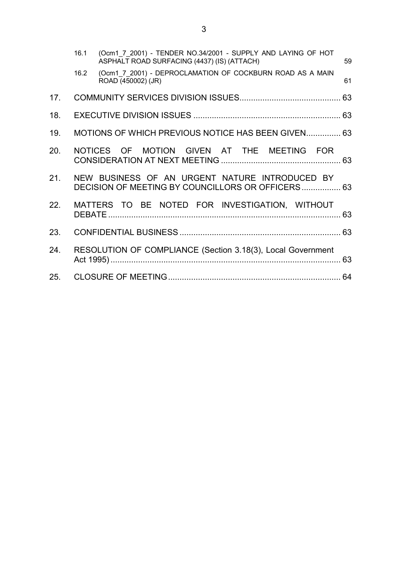|     | 16.1 | (Ocm1 7 2001) - TENDER NO.34/2001 - SUPPLY AND LAYING OF HOT<br>ASPHALT ROAD SURFACING (4437) (IS) (ATTACH) | 59 |
|-----|------|-------------------------------------------------------------------------------------------------------------|----|
|     | 16.2 | (Ocm1 7 2001) - DEPROCLAMATION OF COCKBURN ROAD AS A MAIN<br>ROAD (450002) (JR)                             | 61 |
| 17. |      |                                                                                                             |    |
| 18. |      |                                                                                                             |    |
| 19. |      | MOTIONS OF WHICH PREVIOUS NOTICE HAS BEEN GIVEN 63                                                          |    |
| 20. |      | NOTICES OF MOTION GIVEN AT THE MEETING FOR                                                                  |    |
| 21. |      | NEW BUSINESS OF AN URGENT NATURE INTRODUCED BY<br>DECISION OF MEETING BY COUNCILLORS OR OFFICERS 63         |    |
| 22. |      | MATTERS TO BE NOTED FOR INVESTIGATION, WITHOUT                                                              |    |
| 23. |      |                                                                                                             |    |
| 24. |      | RESOLUTION OF COMPLIANCE (Section 3.18(3), Local Government                                                 |    |
|     |      |                                                                                                             |    |
|     |      |                                                                                                             |    |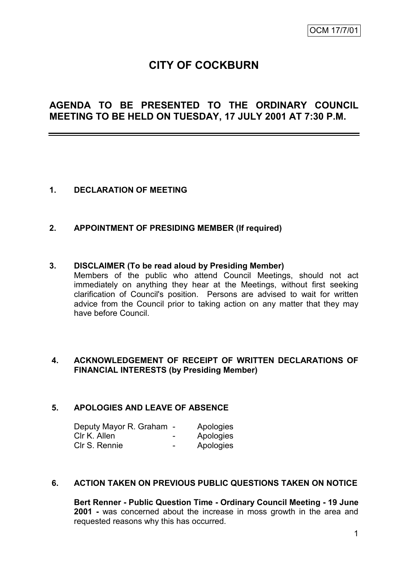# **CITY OF COCKBURN**

# **AGENDA TO BE PRESENTED TO THE ORDINARY COUNCIL MEETING TO BE HELD ON TUESDAY, 17 JULY 2001 AT 7:30 P.M.**

# **1. DECLARATION OF MEETING**

# **2. APPOINTMENT OF PRESIDING MEMBER (If required)**

#### **3. DISCLAIMER (To be read aloud by Presiding Member)**

Members of the public who attend Council Meetings, should not act immediately on anything they hear at the Meetings, without first seeking clarification of Council's position. Persons are advised to wait for written advice from the Council prior to taking action on any matter that they may have before Council.

# **4. ACKNOWLEDGEMENT OF RECEIPT OF WRITTEN DECLARATIONS OF FINANCIAL INTERESTS (by Presiding Member)**

# **5. APOLOGIES AND LEAVE OF ABSENCE**

| Deputy Mayor R. Graham - |   | Apologies |
|--------------------------|---|-----------|
| Clr K. Allen             | - | Apologies |
| Clr S. Rennie            | - | Apologies |

#### **6. ACTION TAKEN ON PREVIOUS PUBLIC QUESTIONS TAKEN ON NOTICE**

**Bert Renner - Public Question Time - Ordinary Council Meeting - 19 June 2001 -** was concerned about the increase in moss growth in the area and requested reasons why this has occurred.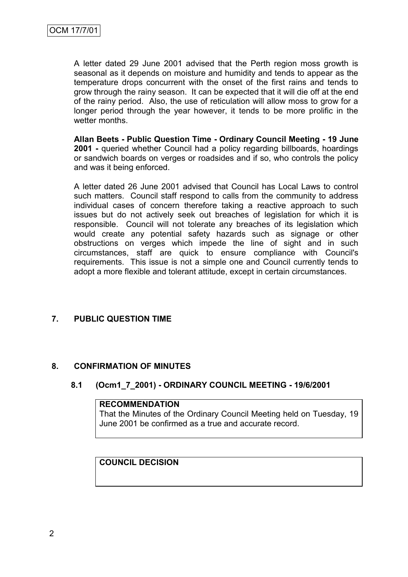A letter dated 29 June 2001 advised that the Perth region moss growth is seasonal as it depends on moisture and humidity and tends to appear as the temperature drops concurrent with the onset of the first rains and tends to grow through the rainy season. It can be expected that it will die off at the end of the rainy period. Also, the use of reticulation will allow moss to grow for a longer period through the year however, it tends to be more prolific in the wetter months.

**Allan Beets - Public Question Time - Ordinary Council Meeting - 19 June 2001 -** queried whether Council had a policy regarding billboards, hoardings or sandwich boards on verges or roadsides and if so, who controls the policy and was it being enforced.

A letter dated 26 June 2001 advised that Council has Local Laws to control such matters. Council staff respond to calls from the community to address individual cases of concern therefore taking a reactive approach to such issues but do not actively seek out breaches of legislation for which it is responsible. Council will not tolerate any breaches of its legislation which would create any potential safety hazards such as signage or other obstructions on verges which impede the line of sight and in such circumstances, staff are quick to ensure compliance with Council's requirements. This issue is not a simple one and Council currently tends to adopt a more flexible and tolerant attitude, except in certain circumstances.

# **7. PUBLIC QUESTION TIME**

# **8. CONFIRMATION OF MINUTES**

# **8.1 (Ocm1\_7\_2001) - ORDINARY COUNCIL MEETING - 19/6/2001**

# **RECOMMENDATION**

That the Minutes of the Ordinary Council Meeting held on Tuesday, 19 June 2001 be confirmed as a true and accurate record.

# **COUNCIL DECISION**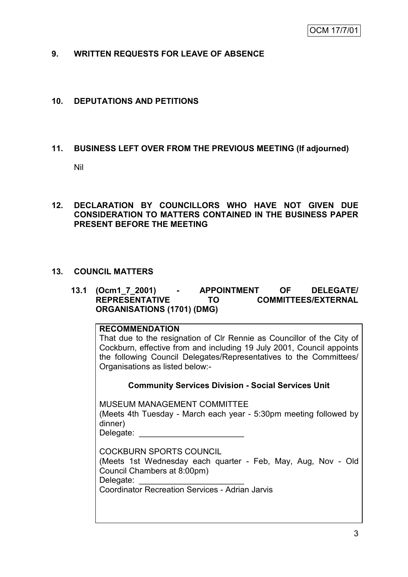# **9. WRITTEN REQUESTS FOR LEAVE OF ABSENCE**

# **10. DEPUTATIONS AND PETITIONS**

# **11. BUSINESS LEFT OVER FROM THE PREVIOUS MEETING (If adjourned)**

Nil

# **12. DECLARATION BY COUNCILLORS WHO HAVE NOT GIVEN DUE CONSIDERATION TO MATTERS CONTAINED IN THE BUSINESS PAPER PRESENT BEFORE THE MEETING**

# **13. COUNCIL MATTERS**

#### **13.1 (Ocm1\_7\_2001) - APPOINTMENT OF DELEGATE/**  TO **COMMITTEES/EXTERNAL ORGANISATIONS (1701) (DMG)**

# **RECOMMENDATION**

That due to the resignation of Clr Rennie as Councillor of the City of Cockburn, effective from and including 19 July 2001, Council appoints the following Council Delegates/Representatives to the Committees/ Organisations as listed below:-

#### **Community Services Division - Social Services Unit**

MUSEUM MANAGEMENT COMMITTEE (Meets 4th Tuesday - March each year - 5:30pm meeting followed by dinner) Delegate: \_\_\_\_\_\_\_\_\_\_\_\_\_\_\_\_\_\_\_\_\_\_\_

| COCKBURN SPORTS COUNCIL<br>(Meets 1st Wednesday each quarter - Feb, May, Aug, Nov - Old<br>Council Chambers at 8:00pm) |  |
|------------------------------------------------------------------------------------------------------------------------|--|
| Delegate:                                                                                                              |  |
| <b>Coordinator Recreation Services - Adrian Jarvis</b>                                                                 |  |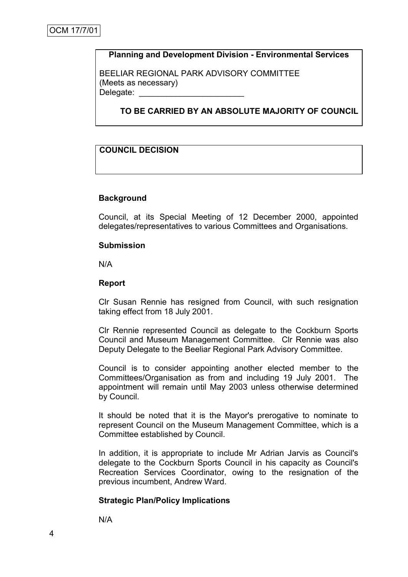# **Planning and Development Division - Environmental Services**

BEELIAR REGIONAL PARK ADVISORY COMMITTEE (Meets as necessary) Delegate:

**TO BE CARRIED BY AN ABSOLUTE MAJORITY OF COUNCIL**

#### **COUNCIL DECISION**

#### **Background**

Council, at its Special Meeting of 12 December 2000, appointed delegates/representatives to various Committees and Organisations.

#### **Submission**

N/A

#### **Report**

Clr Susan Rennie has resigned from Council, with such resignation taking effect from 18 July 2001.

Clr Rennie represented Council as delegate to the Cockburn Sports Council and Museum Management Committee. Clr Rennie was also Deputy Delegate to the Beeliar Regional Park Advisory Committee.

Council is to consider appointing another elected member to the Committees/Organisation as from and including 19 July 2001. The appointment will remain until May 2003 unless otherwise determined by Council.

It should be noted that it is the Mayor's prerogative to nominate to represent Council on the Museum Management Committee, which is a Committee established by Council.

In addition, it is appropriate to include Mr Adrian Jarvis as Council's delegate to the Cockburn Sports Council in his capacity as Council's Recreation Services Coordinator, owing to the resignation of the previous incumbent, Andrew Ward.

#### **Strategic Plan/Policy Implications**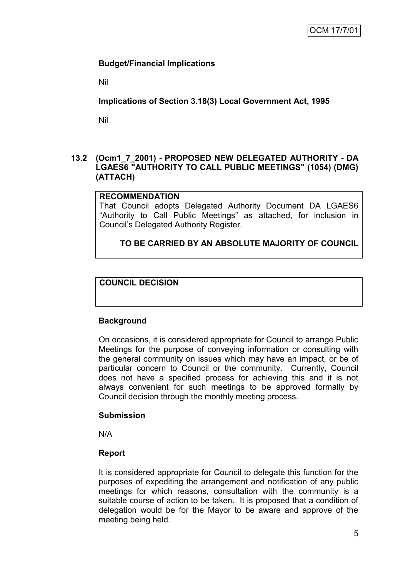# **Budget/Financial Implications**

Nil

**Implications of Section 3.18(3) Local Government Act, 1995**

Nil

# **13.2 (Ocm1\_7\_2001) - PROPOSED NEW DELEGATED AUTHORITY - DA LGAES6 "AUTHORITY TO CALL PUBLIC MEETINGS" (1054) (DMG) (ATTACH)**

# **RECOMMENDATION**

That Council adopts Delegated Authority Document DA LGAES6 "Authority to Call Public Meetings" as attached, for inclusion in Council"s Delegated Authority Register.

# **TO BE CARRIED BY AN ABSOLUTE MAJORITY OF COUNCIL**

# **COUNCIL DECISION**

# **Background**

On occasions, it is considered appropriate for Council to arrange Public Meetings for the purpose of conveying information or consulting with the general community on issues which may have an impact, or be of particular concern to Council or the community. Currently, Council does not have a specified process for achieving this and it is not always convenient for such meetings to be approved formally by Council decision through the monthly meeting process.

# **Submission**

N/A

# **Report**

It is considered appropriate for Council to delegate this function for the purposes of expediting the arrangement and notification of any public meetings for which reasons, consultation with the community is a suitable course of action to be taken. It is proposed that a condition of delegation would be for the Mayor to be aware and approve of the meeting being held.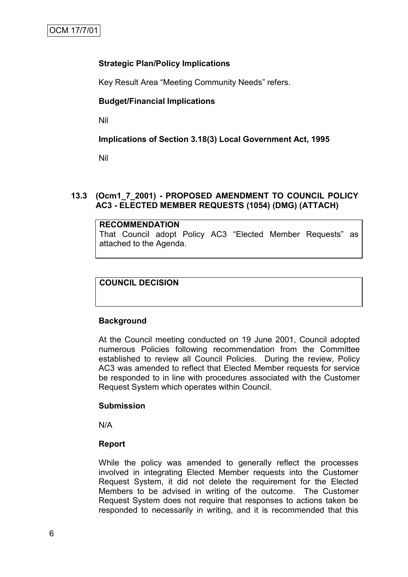# **Strategic Plan/Policy Implications**

Key Result Area "Meeting Community Needs" refers.

# **Budget/Financial Implications**

Nil

# **Implications of Section 3.18(3) Local Government Act, 1995**

Nil

# **13.3 (Ocm1\_7\_2001) - PROPOSED AMENDMENT TO COUNCIL POLICY AC3 - ELECTED MEMBER REQUESTS (1054) (DMG) (ATTACH)**

#### **RECOMMENDATION** That Council adopt Policy AC3 "Elected Member Requests" as attached to the Agenda.

# **COUNCIL DECISION**

# **Background**

At the Council meeting conducted on 19 June 2001, Council adopted numerous Policies following recommendation from the Committee established to review all Council Policies. During the review, Policy AC3 was amended to reflect that Elected Member requests for service be responded to in line with procedures associated with the Customer Request System which operates within Council.

# **Submission**

N/A

# **Report**

While the policy was amended to generally reflect the processes involved in integrating Elected Member requests into the Customer Request System, it did not delete the requirement for the Elected Members to be advised in writing of the outcome. The Customer Request System does not require that responses to actions taken be responded to necessarily in writing, and it is recommended that this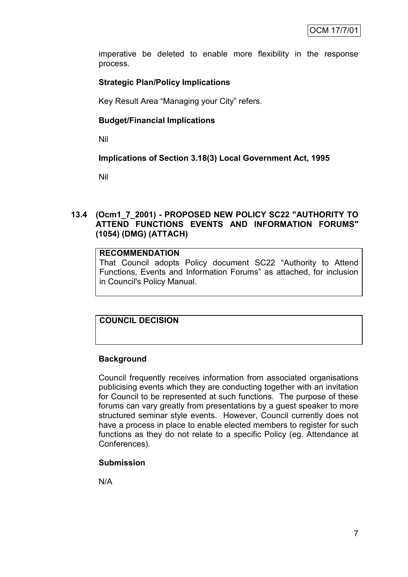imperative be deleted to enable more flexibility in the response process.

# **Strategic Plan/Policy Implications**

Key Result Area "Managing your City" refers.

# **Budget/Financial Implications**

Nil

# **Implications of Section 3.18(3) Local Government Act, 1995**

Nil

# **13.4 (Ocm1\_7\_2001) - PROPOSED NEW POLICY SC22 "AUTHORITY TO ATTEND FUNCTIONS EVENTS AND INFORMATION FORUMS" (1054) (DMG) (ATTACH)**

# **RECOMMENDATION**

That Council adopts Policy document SC22 "Authority to Attend Functions, Events and Information Forums" as attached, for inclusion in Council's Policy Manual.

# **COUNCIL DECISION**

# **Background**

Council frequently receives information from associated organisations publicising events which they are conducting together with an invitation for Council to be represented at such functions. The purpose of these forums can vary greatly from presentations by a guest speaker to more structured seminar style events. However, Council currently does not have a process in place to enable elected members to register for such functions as they do not relate to a specific Policy (eg. Attendance at Conferences).

# **Submission**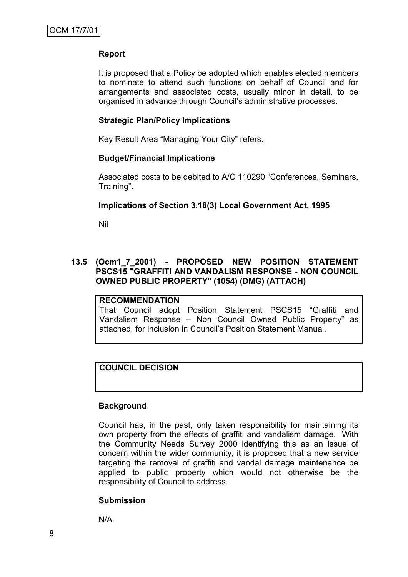It is proposed that a Policy be adopted which enables elected members to nominate to attend such functions on behalf of Council and for arrangements and associated costs, usually minor in detail, to be organised in advance through Council"s administrative processes.

#### **Strategic Plan/Policy Implications**

Key Result Area "Managing Your City" refers.

# **Budget/Financial Implications**

Associated costs to be debited to A/C 110290 "Conferences, Seminars, Training".

#### **Implications of Section 3.18(3) Local Government Act, 1995**

Nil

# **13.5 (Ocm1\_7\_2001) - PROPOSED NEW POSITION STATEMENT PSCS15 "GRAFFITI AND VANDALISM RESPONSE - NON COUNCIL OWNED PUBLIC PROPERTY" (1054) (DMG) (ATTACH)**

# **RECOMMENDATION**

That Council adopt Position Statement PSCS15 "Graffiti and Vandalism Response – Non Council Owned Public Property" as attached, for inclusion in Council"s Position Statement Manual.

# **COUNCIL DECISION**

# **Background**

Council has, in the past, only taken responsibility for maintaining its own property from the effects of graffiti and vandalism damage. With the Community Needs Survey 2000 identifying this as an issue of concern within the wider community, it is proposed that a new service targeting the removal of graffiti and vandal damage maintenance be applied to public property which would not otherwise be the responsibility of Council to address.

# **Submission**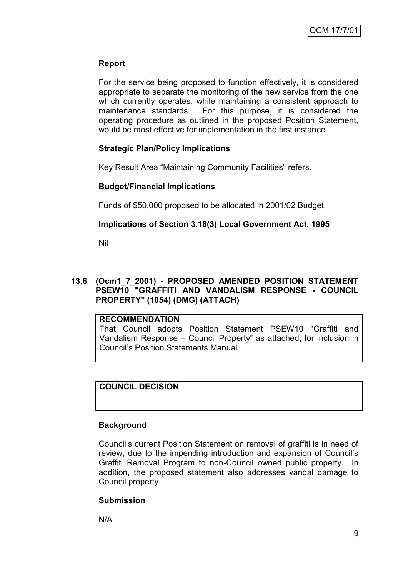For the service being proposed to function effectively, it is considered appropriate to separate the monitoring of the new service from the one which currently operates, while maintaining a consistent approach to maintenance standards. For this purpose, it is considered the operating procedure as outlined in the proposed Position Statement, would be most effective for implementation in the first instance.

# **Strategic Plan/Policy Implications**

Key Result Area "Maintaining Community Facilities" refers.

# **Budget/Financial Implications**

Funds of \$50,000 proposed to be allocated in 2001/02 Budget.

# **Implications of Section 3.18(3) Local Government Act, 1995**

Nil

# **13.6 (Ocm1\_7\_2001) - PROPOSED AMENDED POSITION STATEMENT PSEW10 "GRAFFITI AND VANDALISM RESPONSE - COUNCIL PROPERTY" (1054) (DMG) (ATTACH)**

# **RECOMMENDATION**

That Council adopts Position Statement PSEW10 "Graffiti and Vandalism Response – Council Property" as attached, for inclusion in Council"s Position Statements Manual.

# **COUNCIL DECISION**

# **Background**

Council"s current Position Statement on removal of graffiti is in need of review, due to the impending introduction and expansion of Council"s Graffiti Removal Program to non-Council owned public property. In addition, the proposed statement also addresses vandal damage to Council property.

# **Submission**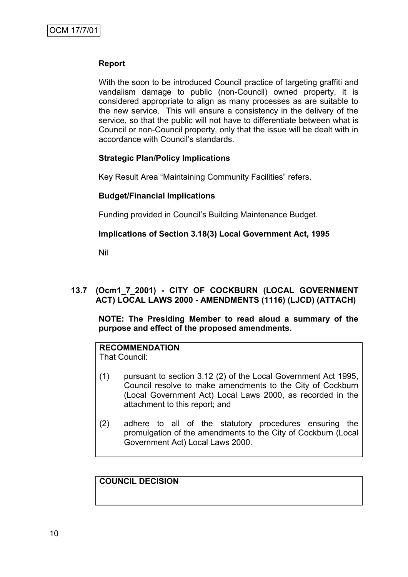With the soon to be introduced Council practice of targeting graffiti and vandalism damage to public (non-Council) owned property, it is considered appropriate to align as many processes as are suitable to the new service. This will ensure a consistency in the delivery of the service, so that the public will not have to differentiate between what is Council or non-Council property, only that the issue will be dealt with in accordance with Council"s standards.

# **Strategic Plan/Policy Implications**

Key Result Area "Maintaining Community Facilities" refers.

# **Budget/Financial Implications**

Funding provided in Council"s Building Maintenance Budget.

# **Implications of Section 3.18(3) Local Government Act, 1995**

Nil

# **13.7 (Ocm1\_7\_2001) - CITY OF COCKBURN (LOCAL GOVERNMENT ACT) LOCAL LAWS 2000 - AMENDMENTS (1116) (LJCD) (ATTACH)**

**NOTE: The Presiding Member to read aloud a summary of the purpose and effect of the proposed amendments.**

# **RECOMMENDATION**

That Council:

- (1) pursuant to section 3.12 (2) of the Local Government Act 1995, Council resolve to make amendments to the City of Cockburn (Local Government Act) Local Laws 2000, as recorded in the attachment to this report; and
- (2) adhere to all of the statutory procedures ensuring the promulgation of the amendments to the City of Cockburn (Local Government Act) Local Laws 2000.

# **COUNCIL DECISION**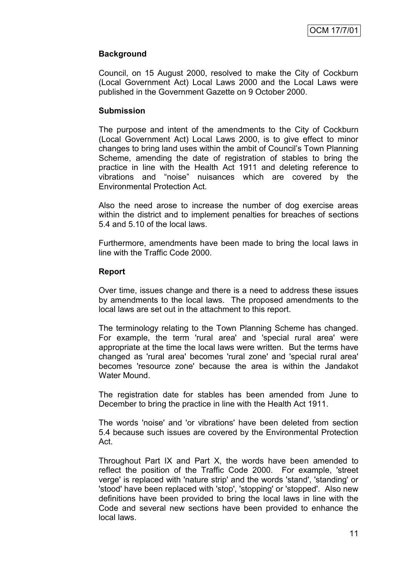# **Background**

Council, on 15 August 2000, resolved to make the City of Cockburn (Local Government Act) Local Laws 2000 and the Local Laws were published in the Government Gazette on 9 October 2000.

#### **Submission**

The purpose and intent of the amendments to the City of Cockburn (Local Government Act) Local Laws 2000, is to give effect to minor changes to bring land uses within the ambit of Council"s Town Planning Scheme, amending the date of registration of stables to bring the practice in line with the Health Act 1911 and deleting reference to vibrations and "noise" nuisances which are covered by the Environmental Protection Act.

Also the need arose to increase the number of dog exercise areas within the district and to implement penalties for breaches of sections 5.4 and 5.10 of the local laws.

Furthermore, amendments have been made to bring the local laws in line with the Traffic Code 2000.

#### **Report**

Over time, issues change and there is a need to address these issues by amendments to the local laws. The proposed amendments to the local laws are set out in the attachment to this report.

The terminology relating to the Town Planning Scheme has changed. For example, the term 'rural area' and 'special rural area' were appropriate at the time the local laws were written. But the terms have changed as 'rural area' becomes 'rural zone' and 'special rural area' becomes 'resource zone' because the area is within the Jandakot Water Mound.

The registration date for stables has been amended from June to December to bring the practice in line with the Health Act 1911.

The words 'noise' and 'or vibrations' have been deleted from section 5.4 because such issues are covered by the Environmental Protection Act.

Throughout Part IX and Part X, the words have been amended to reflect the position of the Traffic Code 2000. For example, 'street verge' is replaced with 'nature strip' and the words 'stand', 'standing' or 'stood' have been replaced with 'stop', 'stopping' or 'stopped'. Also new definitions have been provided to bring the local laws in line with the Code and several new sections have been provided to enhance the local laws.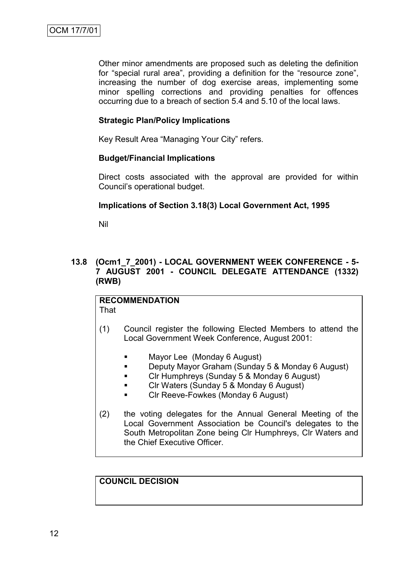Other minor amendments are proposed such as deleting the definition for "special rural area", providing a definition for the "resource zone", increasing the number of dog exercise areas, implementing some minor spelling corrections and providing penalties for offences occurring due to a breach of section 5.4 and 5.10 of the local laws.

# **Strategic Plan/Policy Implications**

Key Result Area "Managing Your City" refers.

# **Budget/Financial Implications**

Direct costs associated with the approval are provided for within Council"s operational budget.

# **Implications of Section 3.18(3) Local Government Act, 1995**

Nil

# **13.8 (Ocm1\_7\_2001) - LOCAL GOVERNMENT WEEK CONFERENCE - 5- 7 AUGUST 2001 - COUNCIL DELEGATE ATTENDANCE (1332) (RWB)**

#### **RECOMMENDATION** That

- (1) Council register the following Elected Members to attend the Local Government Week Conference, August 2001:
	- **Nayor Lee (Monday 6 August)**
	- **Deputy Mayor Graham (Sunday 5 & Monday 6 August)**
	- **Clr Humphreys (Sunday 5 & Monday 6 August)**
	- **Clr Waters (Sunday 5 & Monday 6 August)**
	- **EXECUTE:** Clr Reeve-Fowkes (Monday 6 August)
- (2) the voting delegates for the Annual General Meeting of the Local Government Association be Council's delegates to the South Metropolitan Zone being Clr Humphreys, Clr Waters and the Chief Executive Officer.

# **COUNCIL DECISION**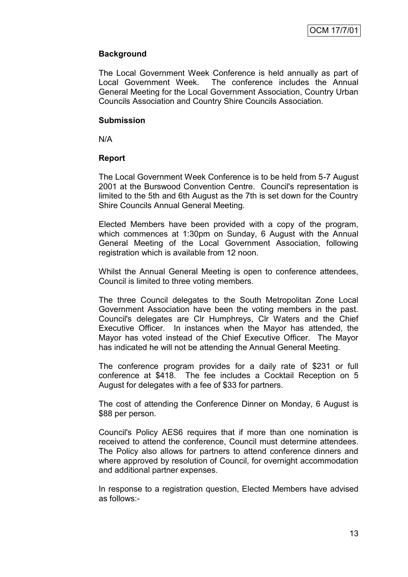# **Background**

The Local Government Week Conference is held annually as part of Local Government Week. The conference includes the Annual General Meeting for the Local Government Association, Country Urban Councils Association and Country Shire Councils Association.

#### **Submission**

N/A

# **Report**

The Local Government Week Conference is to be held from 5-7 August 2001 at the Burswood Convention Centre. Council's representation is limited to the 5th and 6th August as the 7th is set down for the Country Shire Councils Annual General Meeting.

Elected Members have been provided with a copy of the program, which commences at 1:30pm on Sunday, 6 August with the Annual General Meeting of the Local Government Association, following registration which is available from 12 noon.

Whilst the Annual General Meeting is open to conference attendees, Council is limited to three voting members.

The three Council delegates to the South Metropolitan Zone Local Government Association have been the voting members in the past. Council's delegates are Clr Humphreys, Clr Waters and the Chief Executive Officer. In instances when the Mayor has attended, the Mayor has voted instead of the Chief Executive Officer. The Mayor has indicated he will not be attending the Annual General Meeting.

The conference program provides for a daily rate of \$231 or full conference at \$418. The fee includes a Cocktail Reception on 5 August for delegates with a fee of \$33 for partners.

The cost of attending the Conference Dinner on Monday, 6 August is \$88 per person.

Council's Policy AES6 requires that if more than one nomination is received to attend the conference, Council must determine attendees. The Policy also allows for partners to attend conference dinners and where approved by resolution of Council, for overnight accommodation and additional partner expenses.

In response to a registration question, Elected Members have advised as follows:-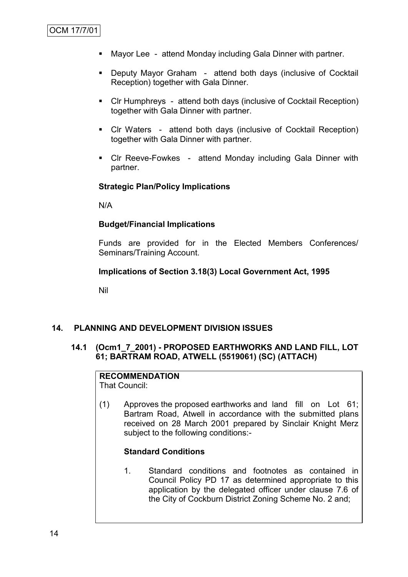- Mayor Lee attend Monday including Gala Dinner with partner.
- Deputy Mayor Graham attend both days (inclusive of Cocktail Reception) together with Gala Dinner.
- Clr Humphreys attend both days (inclusive of Cocktail Reception) together with Gala Dinner with partner.
- Clr Waters attend both days (inclusive of Cocktail Reception) together with Gala Dinner with partner.
- Clr Reeve-Fowkes attend Monday including Gala Dinner with partner.

# **Strategic Plan/Policy Implications**

N/A

# **Budget/Financial Implications**

Funds are provided for in the Elected Members Conferences/ Seminars/Training Account.

# **Implications of Section 3.18(3) Local Government Act, 1995**

Nil

# **14. PLANNING AND DEVELOPMENT DIVISION ISSUES**

# **14.1 (Ocm1\_7\_2001) - PROPOSED EARTHWORKS AND LAND FILL, LOT 61; BARTRAM ROAD, ATWELL (5519061) (SC) (ATTACH)**

#### **RECOMMENDATION** That Council:

(1) Approves the proposed earthworks and land fill on Lot 61; Bartram Road, Atwell in accordance with the submitted plans received on 28 March 2001 prepared by Sinclair Knight Merz subject to the following conditions:-

# **Standard Conditions**

1. Standard conditions and footnotes as contained in Council Policy PD 17 as determined appropriate to this application by the delegated officer under clause 7.6 of the City of Cockburn District Zoning Scheme No. 2 and;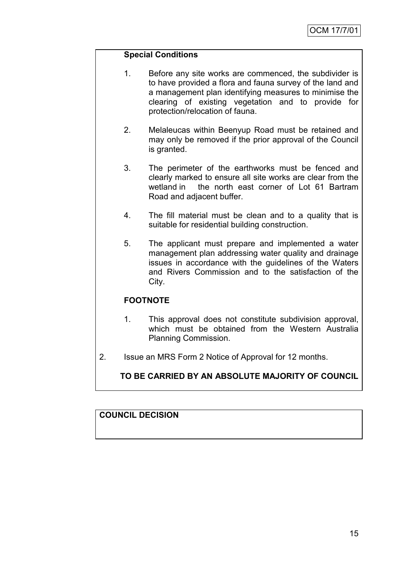# **Special Conditions**

- 1. Before any site works are commenced, the subdivider is to have provided a flora and fauna survey of the land and a management plan identifying measures to minimise the clearing of existing vegetation and to provide for protection/relocation of fauna.
- 2. Melaleucas within Beenyup Road must be retained and may only be removed if the prior approval of the Council is granted.
- 3. The perimeter of the earthworks must be fenced and clearly marked to ensure all site works are clear from the wetland in the north east corner of Lot 61 Bartram Road and adjacent buffer.
- 4. The fill material must be clean and to a quality that is suitable for residential building construction.
- 5. The applicant must prepare and implemented a water management plan addressing water quality and drainage issues in accordance with the guidelines of the Waters and Rivers Commission and to the satisfaction of the City.

# **FOOTNOTE**

- 1. This approval does not constitute subdivision approval, which must be obtained from the Western Australia Planning Commission.
- 2. Issue an MRS Form 2 Notice of Approval for 12 months.

# **TO BE CARRIED BY AN ABSOLUTE MAJORITY OF COUNCIL**

# **COUNCIL DECISION**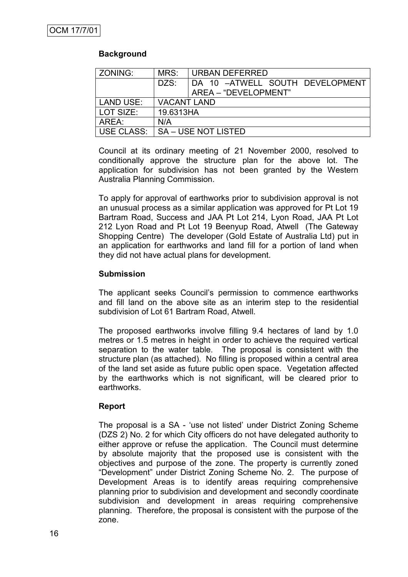# **Background**

| ZONING:    | MRS:               | URBAN DEFERRED                  |
|------------|--------------------|---------------------------------|
|            | DZS:               | DA 10 -ATWELL SOUTH DEVELOPMENT |
|            |                    | AREA - "DEVELOPMENT"            |
| LAND USE:  | <b>VACANT LAND</b> |                                 |
| LOT SIZE:  | 19.6313HA          |                                 |
| AREA:      | N/A                |                                 |
| USE CLASS: |                    | <b>SA – USE NOT LISTED</b>      |

Council at its ordinary meeting of 21 November 2000, resolved to conditionally approve the structure plan for the above lot. The application for subdivision has not been granted by the Western Australia Planning Commission.

To apply for approval of earthworks prior to subdivision approval is not an unusual process as a similar application was approved for Pt Lot 19 Bartram Road, Success and JAA Pt Lot 214, Lyon Road, JAA Pt Lot 212 Lyon Road and Pt Lot 19 Beenyup Road, Atwell (The Gateway Shopping Centre) The developer (Gold Estate of Australia Ltd) put in an application for earthworks and land fill for a portion of land when they did not have actual plans for development.

# **Submission**

The applicant seeks Council's permission to commence earthworks and fill land on the above site as an interim step to the residential subdivision of Lot 61 Bartram Road, Atwell.

The proposed earthworks involve filling 9.4 hectares of land by 1.0 metres or 1.5 metres in height in order to achieve the required vertical separation to the water table. The proposal is consistent with the structure plan (as attached). No filling is proposed within a central area of the land set aside as future public open space. Vegetation affected by the earthworks which is not significant, will be cleared prior to earthworks.

# **Report**

The proposal is a SA - "use not listed" under District Zoning Scheme (DZS 2) No. 2 for which City officers do not have delegated authority to either approve or refuse the application. The Council must determine by absolute majority that the proposed use is consistent with the objectives and purpose of the zone. The property is currently zoned "Development" under District Zoning Scheme No. 2. The purpose of Development Areas is to identify areas requiring comprehensive planning prior to subdivision and development and secondly coordinate subdivision and development in areas requiring comprehensive planning. Therefore, the proposal is consistent with the purpose of the zone.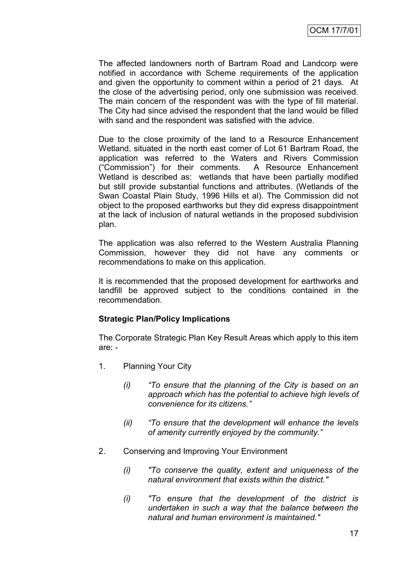The affected landowners north of Bartram Road and Landcorp were notified in accordance with Scheme requirements of the application and given the opportunity to comment within a period of 21 days. At the close of the advertising period, only one submission was received. The main concern of the respondent was with the type of fill material. The City had since advised the respondent that the land would be filled with sand and the respondent was satisfied with the advice.

Due to the close proximity of the land to a Resource Enhancement Wetland, situated in the north east corner of Lot 61 Bartram Road, the application was referred to the Waters and Rivers Commission ("Commission") for their comments. A Resource Enhancement Wetland is described as: wetlands that have been partially modified but still provide substantial functions and attributes. (Wetlands of the Swan Coastal Plain Study, 1996 Hills et al). The Commission did not object to the proposed earthworks but they did express disappointment at the lack of inclusion of natural wetlands in the proposed subdivision plan.

The application was also referred to the Western Australia Planning Commission, however they did not have any comments or recommendations to make on this application.

It is recommended that the proposed development for earthworks and landfill be approved subject to the conditions contained in the recommendation.

# **Strategic Plan/Policy Implications**

The Corporate Strategic Plan Key Result Areas which apply to this item are: -

- 1. Planning Your City
	- *(i) "To ensure that the planning of the City is based on an approach which has the potential to achieve high levels of convenience for its citizens."*
	- *(ii) "To ensure that the development will enhance the levels of amenity currently enjoyed by the community."*
- 2. Conserving and Improving Your Environment
	- *(i) "To conserve the quality, extent and uniqueness of the natural environment that exists within the district."*
	- *(i) "To ensure that the development of the district is undertaken in such a way that the balance between the natural and human environment is maintained."*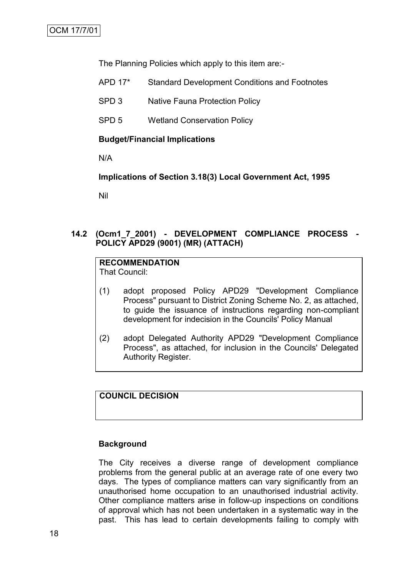The Planning Policies which apply to this item are:-

- APD 17\* Standard Development Conditions and Footnotes
- SPD 3 Native Fauna Protection Policy
- SPD 5 Wetland Conservation Policy

#### **Budget/Financial Implications**

N/A

**Implications of Section 3.18(3) Local Government Act, 1995**

Nil

# **14.2 (Ocm1\_7\_2001) - DEVELOPMENT COMPLIANCE PROCESS - POLICY APD29 (9001) (MR) (ATTACH)**

#### **RECOMMENDATION** That Council:

- (1) adopt proposed Policy APD29 "Development Compliance Process" pursuant to District Zoning Scheme No. 2, as attached, to guide the issuance of instructions regarding non-compliant development for indecision in the Councils' Policy Manual
- (2) adopt Delegated Authority APD29 "Development Compliance Process", as attached, for inclusion in the Councils' Delegated Authority Register.

**COUNCIL DECISION**

#### **Background**

The City receives a diverse range of development compliance problems from the general public at an average rate of one every two days. The types of compliance matters can vary significantly from an unauthorised home occupation to an unauthorised industrial activity. Other compliance matters arise in follow-up inspections on conditions of approval which has not been undertaken in a systematic way in the past. This has lead to certain developments failing to comply with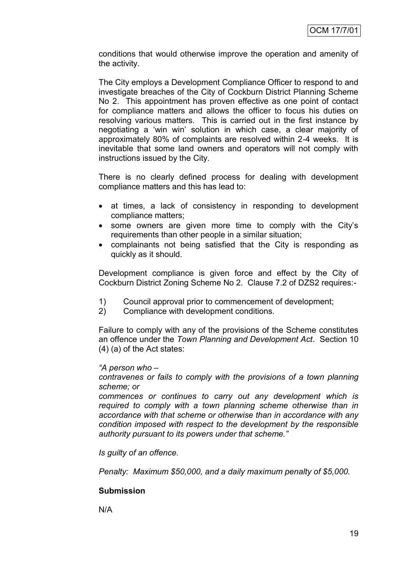conditions that would otherwise improve the operation and amenity of the activity.

The City employs a Development Compliance Officer to respond to and investigate breaches of the City of Cockburn District Planning Scheme No 2. This appointment has proven effective as one point of contact for compliance matters and allows the officer to focus his duties on resolving various matters. This is carried out in the first instance by negotiating a "win win" solution in which case, a clear majority of approximately 80% of complaints are resolved within 2-4 weeks. It is inevitable that some land owners and operators will not comply with instructions issued by the City.

There is no clearly defined process for dealing with development compliance matters and this has lead to:

- at times, a lack of consistency in responding to development compliance matters;
- some owners are given more time to comply with the City's requirements than other people in a similar situation;
- complainants not being satisfied that the City is responding as quickly as it should.

Development compliance is given force and effect by the City of Cockburn District Zoning Scheme No 2. Clause 7.2 of DZS2 requires:-

- 1) Council approval prior to commencement of development;
- 2) Compliance with development conditions.

Failure to comply with any of the provisions of the Scheme constitutes an offence under the *Town Planning and Development Act*. Section 10 (4) (a) of the Act states:

# *"A person who –*

*contravenes or fails to comply with the provisions of a town planning scheme; or*

*commences or continues to carry out any development which is required to comply with a town planning scheme otherwise than in accordance with that scheme or otherwise than in accordance with any condition imposed with respect to the development by the responsible authority pursuant to its powers under that scheme."*

*Is guilty of an offence.*

*Penalty: Maximum \$50,000, and a daily maximum penalty of \$5,000.*

# **Submission**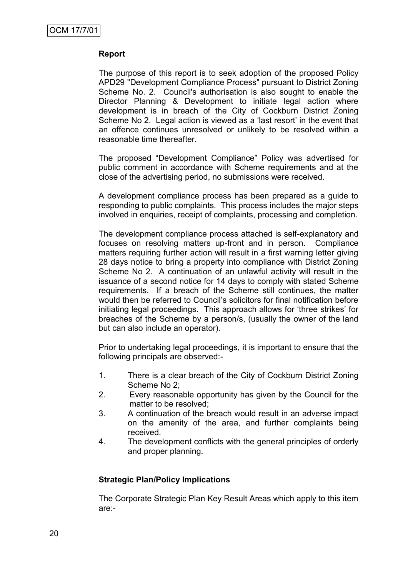The purpose of this report is to seek adoption of the proposed Policy APD29 "Development Compliance Process" pursuant to District Zoning Scheme No. 2. Council's authorisation is also sought to enable the Director Planning & Development to initiate legal action where development is in breach of the City of Cockburn District Zoning Scheme No 2. Legal action is viewed as a 'last resort' in the event that an offence continues unresolved or unlikely to be resolved within a reasonable time thereafter.

The proposed "Development Compliance" Policy was advertised for public comment in accordance with Scheme requirements and at the close of the advertising period, no submissions were received.

A development compliance process has been prepared as a guide to responding to public complaints. This process includes the major steps involved in enquiries, receipt of complaints, processing and completion.

The development compliance process attached is self-explanatory and focuses on resolving matters up-front and in person. Compliance matters requiring further action will result in a first warning letter giving 28 days notice to bring a property into compliance with District Zoning Scheme No 2. A continuation of an unlawful activity will result in the issuance of a second notice for 14 days to comply with stated Scheme requirements. If a breach of the Scheme still continues, the matter would then be referred to Council"s solicitors for final notification before initiating legal proceedings. This approach allows for "three strikes" for breaches of the Scheme by a person/s, (usually the owner of the land but can also include an operator).

Prior to undertaking legal proceedings, it is important to ensure that the following principals are observed:-

- 1. There is a clear breach of the City of Cockburn District Zoning Scheme No 2;
- 2. Every reasonable opportunity has given by the Council for the matter to be resolved;
- 3. A continuation of the breach would result in an adverse impact on the amenity of the area, and further complaints being received.
- 4. The development conflicts with the general principles of orderly and proper planning.

# **Strategic Plan/Policy Implications**

The Corporate Strategic Plan Key Result Areas which apply to this item are:-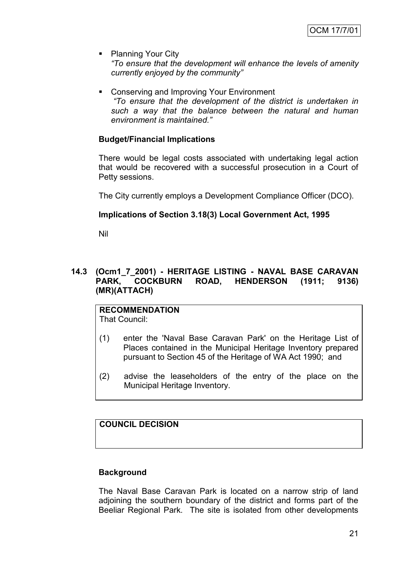- Planning Your City *"To ensure that the development will enhance the levels of amenity currently enjoyed by the community"*
- **Conserving and Improving Your Environment** *"To ensure that the development of the district is undertaken in such a way that the balance between the natural and human environment is maintained."*

# **Budget/Financial Implications**

There would be legal costs associated with undertaking legal action that would be recovered with a successful prosecution in a Court of Petty sessions.

The City currently employs a Development Compliance Officer (DCO).

# **Implications of Section 3.18(3) Local Government Act, 1995**

Nil

# **14.3 (Ocm1\_7\_2001) - HERITAGE LISTING - NAVAL BASE CARAVAN PARK, COCKBURN ROAD, HENDERSON (1911; 9136) (MR)(ATTACH)**

**RECOMMENDATION** That Council:

- (1) enter the 'Naval Base Caravan Park' on the Heritage List of Places contained in the Municipal Heritage Inventory prepared pursuant to Section 45 of the Heritage of WA Act 1990; and
- (2) advise the leaseholders of the entry of the place on the Municipal Heritage Inventory.

# **COUNCIL DECISION**

# **Background**

The Naval Base Caravan Park is located on a narrow strip of land adjoining the southern boundary of the district and forms part of the Beeliar Regional Park. The site is isolated from other developments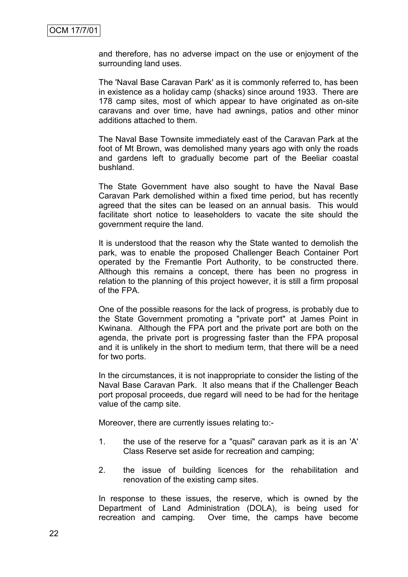and therefore, has no adverse impact on the use or enjoyment of the surrounding land uses.

The 'Naval Base Caravan Park' as it is commonly referred to, has been in existence as a holiday camp (shacks) since around 1933. There are 178 camp sites, most of which appear to have originated as on-site caravans and over time, have had awnings, patios and other minor additions attached to them.

The Naval Base Townsite immediately east of the Caravan Park at the foot of Mt Brown, was demolished many years ago with only the roads and gardens left to gradually become part of the Beeliar coastal bushland.

The State Government have also sought to have the Naval Base Caravan Park demolished within a fixed time period, but has recently agreed that the sites can be leased on an annual basis. This would facilitate short notice to leaseholders to vacate the site should the government require the land.

It is understood that the reason why the State wanted to demolish the park, was to enable the proposed Challenger Beach Container Port operated by the Fremantle Port Authority, to be constructed there. Although this remains a concept, there has been no progress in relation to the planning of this project however, it is still a firm proposal of the FPA.

One of the possible reasons for the lack of progress, is probably due to the State Government promoting a "private port" at James Point in Kwinana. Although the FPA port and the private port are both on the agenda, the private port is progressing faster than the FPA proposal and it is unlikely in the short to medium term, that there will be a need for two ports.

In the circumstances, it is not inappropriate to consider the listing of the Naval Base Caravan Park. It also means that if the Challenger Beach port proposal proceeds, due regard will need to be had for the heritage value of the camp site.

Moreover, there are currently issues relating to:-

- 1. the use of the reserve for a "quasi" caravan park as it is an 'A' Class Reserve set aside for recreation and camping;
- 2. the issue of building licences for the rehabilitation and renovation of the existing camp sites.

In response to these issues, the reserve, which is owned by the Department of Land Administration (DOLA), is being used for recreation and camping. Over time, the camps have become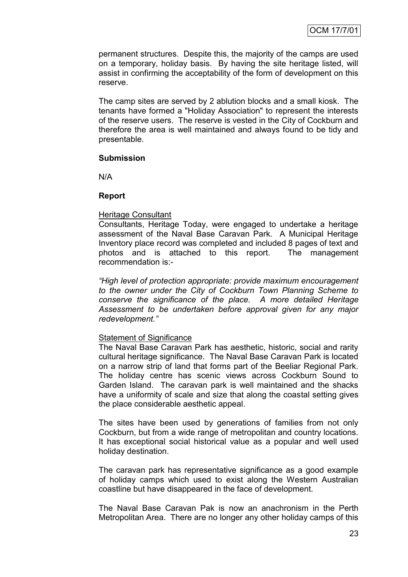permanent structures. Despite this, the majority of the camps are used on a temporary, holiday basis. By having the site heritage listed, will assist in confirming the acceptability of the form of development on this reserve.

The camp sites are served by 2 ablution blocks and a small kiosk. The tenants have formed a "Holiday Association" to represent the interests of the reserve users. The reserve is vested in the City of Cockburn and therefore the area is well maintained and always found to be tidy and presentable.

#### **Submission**

N/A

#### **Report**

#### Heritage Consultant

Consultants, Heritage Today, were engaged to undertake a heritage assessment of the Naval Base Caravan Park. A Municipal Heritage Inventory place record was completed and included 8 pages of text and photos and is attached to this report. The management recommendation is:-

*"High level of protection appropriate: provide maximum encouragement to the owner under the City of Cockburn Town Planning Scheme to conserve the significance of the place. A more detailed Heritage Assessment to be undertaken before approval given for any major redevelopment."*

# Statement of Significance

The Naval Base Caravan Park has aesthetic, historic, social and rarity cultural heritage significance. The Naval Base Caravan Park is located on a narrow strip of land that forms part of the Beeliar Regional Park. The holiday centre has scenic views across Cockburn Sound to Garden Island. The caravan park is well maintained and the shacks have a uniformity of scale and size that along the coastal setting gives the place considerable aesthetic appeal.

The sites have been used by generations of families from not only Cockburn, but from a wide range of metropolitan and country locations. It has exceptional social historical value as a popular and well used holiday destination.

The caravan park has representative significance as a good example of holiday camps which used to exist along the Western Australian coastline but have disappeared in the face of development.

The Naval Base Caravan Pak is now an anachronism in the Perth Metropolitan Area. There are no longer any other holiday camps of this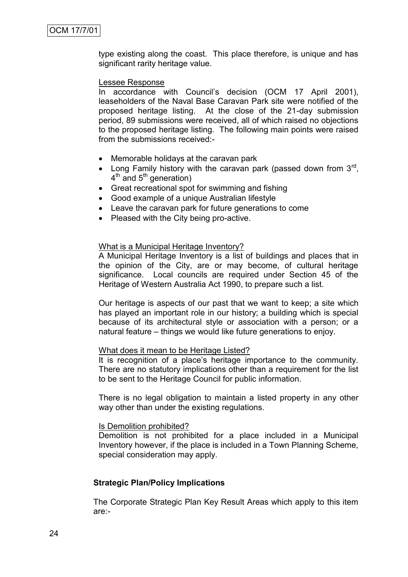type existing along the coast. This place therefore, is unique and has significant rarity heritage value.

#### Lessee Response

In accordance with Council's decision (OCM 17 April 2001), leaseholders of the Naval Base Caravan Park site were notified of the proposed heritage listing. At the close of the 21-day submission period, 89 submissions were received, all of which raised no objections to the proposed heritage listing. The following main points were raised from the submissions received:-

- Memorable holidays at the caravan park
- Long Family history with the caravan park (passed down from  $3<sup>rd</sup>$ , 4<sup>th</sup> and 5<sup>th</sup> generation)
- Great recreational spot for swimming and fishing
- Good example of a unique Australian lifestyle
- Leave the caravan park for future generations to come
- Pleased with the City being pro-active.

#### What is a Municipal Heritage Inventory?

A Municipal Heritage Inventory is a list of buildings and places that in the opinion of the City, are or may become, of cultural heritage significance. Local councils are required under Section 45 of the Heritage of Western Australia Act 1990, to prepare such a list.

Our heritage is aspects of our past that we want to keep; a site which has played an important role in our history; a building which is special because of its architectural style or association with a person; or a natural feature – things we would like future generations to enjoy.

#### What does it mean to be Heritage Listed?

It is recognition of a place"s heritage importance to the community. There are no statutory implications other than a requirement for the list to be sent to the Heritage Council for public information.

There is no legal obligation to maintain a listed property in any other way other than under the existing regulations.

#### Is Demolition prohibited?

Demolition is not prohibited for a place included in a Municipal Inventory however, if the place is included in a Town Planning Scheme, special consideration may apply.

#### **Strategic Plan/Policy Implications**

The Corporate Strategic Plan Key Result Areas which apply to this item are:-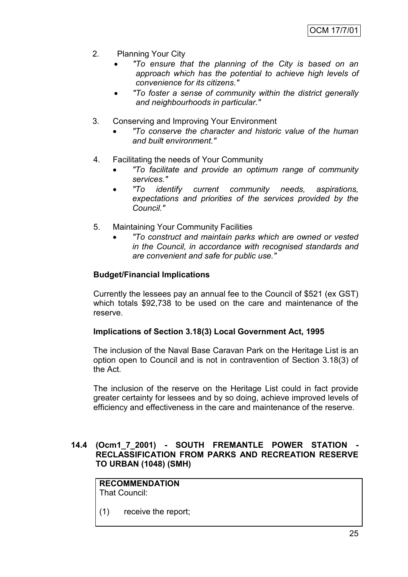- 2. Planning Your City
	- *"To ensure that the planning of the City is based on an approach which has the potential to achieve high levels of convenience for its citizens."*
	- *"To foster a sense of community within the district generally and neighbourhoods in particular."*
- 3. Conserving and Improving Your Environment
	- *"To conserve the character and historic value of the human and built environment."*
- 4. Facilitating the needs of Your Community
	- *"To facilitate and provide an optimum range of community services."*
	- *"To identify current community needs, aspirations, expectations and priorities of the services provided by the Council."*
- 5. Maintaining Your Community Facilities
	- *"To construct and maintain parks which are owned or vested in the Council, in accordance with recognised standards and are convenient and safe for public use."*

# **Budget/Financial Implications**

Currently the lessees pay an annual fee to the Council of \$521 (ex GST) which totals \$92,738 to be used on the care and maintenance of the reserve.

# **Implications of Section 3.18(3) Local Government Act, 1995**

The inclusion of the Naval Base Caravan Park on the Heritage List is an option open to Council and is not in contravention of Section 3.18(3) of the Act.

The inclusion of the reserve on the Heritage List could in fact provide greater certainty for lessees and by so doing, achieve improved levels of efficiency and effectiveness in the care and maintenance of the reserve.

# **14.4 (Ocm1\_7\_2001) - SOUTH FREMANTLE POWER STATION - RECLASSIFICATION FROM PARKS AND RECREATION RESERVE TO URBAN (1048) (SMH)**

**RECOMMENDATION** That Council:

(1) receive the report;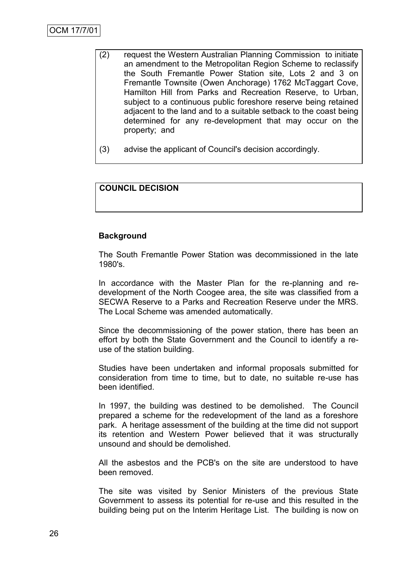- (2) request the Western Australian Planning Commission to initiate an amendment to the Metropolitan Region Scheme to reclassify the South Fremantle Power Station site, Lots 2 and 3 on Fremantle Townsite (Owen Anchorage) 1762 McTaggart Cove, Hamilton Hill from Parks and Recreation Reserve, to Urban, subject to a continuous public foreshore reserve being retained adjacent to the land and to a suitable setback to the coast being determined for any re-development that may occur on the property; and
- (3) advise the applicant of Council's decision accordingly.

# **COUNCIL DECISION**

# **Background**

The South Fremantle Power Station was decommissioned in the late 1980's.

In accordance with the Master Plan for the re-planning and redevelopment of the North Coogee area, the site was classified from a SECWA Reserve to a Parks and Recreation Reserve under the MRS. The Local Scheme was amended automatically.

Since the decommissioning of the power station, there has been an effort by both the State Government and the Council to identify a reuse of the station building.

Studies have been undertaken and informal proposals submitted for consideration from time to time, but to date, no suitable re-use has been identified.

In 1997, the building was destined to be demolished. The Council prepared a scheme for the redevelopment of the land as a foreshore park. A heritage assessment of the building at the time did not support its retention and Western Power believed that it was structurally unsound and should be demolished.

All the asbestos and the PCB's on the site are understood to have been removed.

The site was visited by Senior Ministers of the previous State Government to assess its potential for re-use and this resulted in the building being put on the Interim Heritage List. The building is now on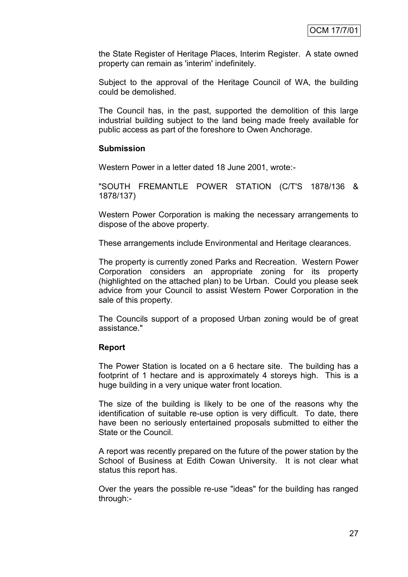the State Register of Heritage Places, Interim Register. A state owned property can remain as 'interim' indefinitely.

Subject to the approval of the Heritage Council of WA, the building could be demolished.

The Council has, in the past, supported the demolition of this large industrial building subject to the land being made freely available for public access as part of the foreshore to Owen Anchorage.

#### **Submission**

Western Power in a letter dated 18 June 2001, wrote:-

"SOUTH FREMANTLE POWER STATION (C/T'S 1878/136 & 1878/137)

Western Power Corporation is making the necessary arrangements to dispose of the above property.

These arrangements include Environmental and Heritage clearances.

The property is currently zoned Parks and Recreation. Western Power Corporation considers an appropriate zoning for its property (highlighted on the attached plan) to be Urban. Could you please seek advice from your Council to assist Western Power Corporation in the sale of this property.

The Councils support of a proposed Urban zoning would be of great assistance."

# **Report**

The Power Station is located on a 6 hectare site. The building has a footprint of 1 hectare and is approximately 4 storeys high. This is a huge building in a very unique water front location.

The size of the building is likely to be one of the reasons why the identification of suitable re-use option is very difficult. To date, there have been no seriously entertained proposals submitted to either the State or the Council.

A report was recently prepared on the future of the power station by the School of Business at Edith Cowan University. It is not clear what status this report has.

Over the years the possible re-use "ideas" for the building has ranged through:-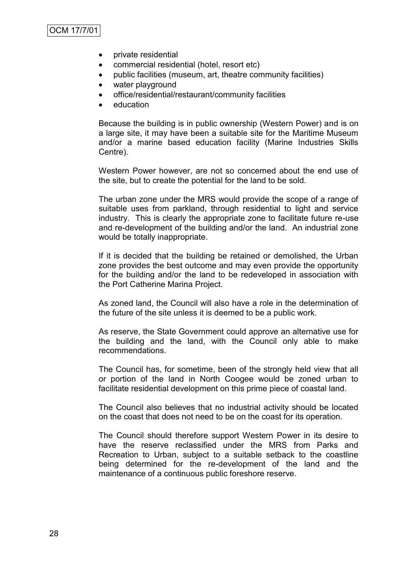- private residential
- commercial residential (hotel, resort etc)
- public facilities (museum, art, theatre community facilities)
- water playground
- office/residential/restaurant/community facilities
- education

Because the building is in public ownership (Western Power) and is on a large site, it may have been a suitable site for the Maritime Museum and/or a marine based education facility (Marine Industries Skills Centre).

Western Power however, are not so concerned about the end use of the site, but to create the potential for the land to be sold.

The urban zone under the MRS would provide the scope of a range of suitable uses from parkland, through residential to light and service industry. This is clearly the appropriate zone to facilitate future re-use and re-development of the building and/or the land. An industrial zone would be totally inappropriate.

If it is decided that the building be retained or demolished, the Urban zone provides the best outcome and may even provide the opportunity for the building and/or the land to be redeveloped in association with the Port Catherine Marina Project.

As zoned land, the Council will also have a role in the determination of the future of the site unless it is deemed to be a public work.

As reserve, the State Government could approve an alternative use for the building and the land, with the Council only able to make recommendations.

The Council has, for sometime, been of the strongly held view that all or portion of the land in North Coogee would be zoned urban to facilitate residential development on this prime piece of coastal land.

The Council also believes that no industrial activity should be located on the coast that does not need to be on the coast for its operation.

The Council should therefore support Western Power in its desire to have the reserve reclassified under the MRS from Parks and Recreation to Urban, subject to a suitable setback to the coastline being determined for the re-development of the land and the maintenance of a continuous public foreshore reserve.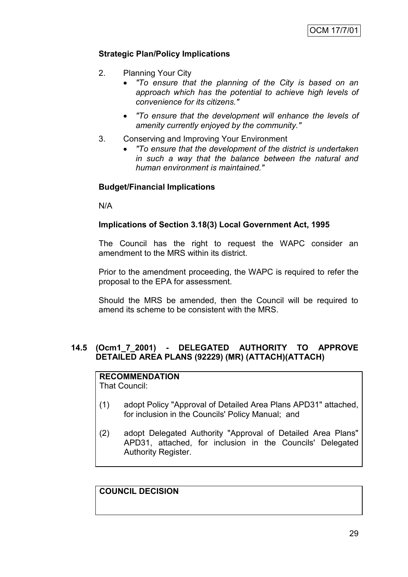# **Strategic Plan/Policy Implications**

- 2. Planning Your City
	- *"To ensure that the planning of the City is based on an approach which has the potential to achieve high levels of convenience for its citizens."*
	- *"To ensure that the development will enhance the levels of amenity currently enjoyed by the community."*
- 3. Conserving and Improving Your Environment
	- *"To ensure that the development of the district is undertaken in such a way that the balance between the natural and human environment is maintained."*

# **Budget/Financial Implications**

N/A

# **Implications of Section 3.18(3) Local Government Act, 1995**

The Council has the right to request the WAPC consider an amendment to the MRS within its district.

Prior to the amendment proceeding, the WAPC is required to refer the proposal to the EPA for assessment.

Should the MRS be amended, then the Council will be required to amend its scheme to be consistent with the MRS.

# **14.5 (Ocm1\_7\_2001) - DELEGATED AUTHORITY TO APPROVE DETAILED AREA PLANS (92229) (MR) (ATTACH)(ATTACH)**

**RECOMMENDATION** That Council:

- (1) adopt Policy "Approval of Detailed Area Plans APD31" attached, for inclusion in the Councils' Policy Manual; and
- (2) adopt Delegated Authority "Approval of Detailed Area Plans" APD31, attached, for inclusion in the Councils' Delegated Authority Register.

**COUNCIL DECISION**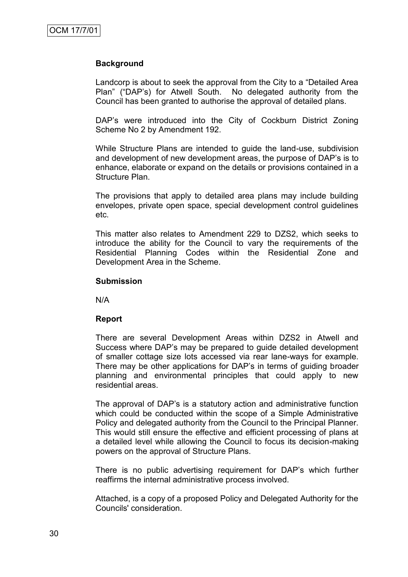#### **Background**

Landcorp is about to seek the approval from the City to a "Detailed Area Plan" ("DAP"s) for Atwell South. No delegated authority from the Council has been granted to authorise the approval of detailed plans.

DAP"s were introduced into the City of Cockburn District Zoning Scheme No 2 by Amendment 192.

While Structure Plans are intended to guide the land-use, subdivision and development of new development areas, the purpose of DAP"s is to enhance, elaborate or expand on the details or provisions contained in a Structure Plan.

The provisions that apply to detailed area plans may include building envelopes, private open space, special development control guidelines etc.

This matter also relates to Amendment 229 to DZS2, which seeks to introduce the ability for the Council to vary the requirements of the Residential Planning Codes within the Residential Zone and Development Area in the Scheme.

#### **Submission**

N/A

#### **Report**

There are several Development Areas within DZS2 in Atwell and Success where DAP"s may be prepared to guide detailed development of smaller cottage size lots accessed via rear lane-ways for example. There may be other applications for DAP"s in terms of guiding broader planning and environmental principles that could apply to new residential areas.

The approval of DAP"s is a statutory action and administrative function which could be conducted within the scope of a Simple Administrative Policy and delegated authority from the Council to the Principal Planner. This would still ensure the effective and efficient processing of plans at a detailed level while allowing the Council to focus its decision-making powers on the approval of Structure Plans.

There is no public advertising requirement for DAP"s which further reaffirms the internal administrative process involved.

Attached, is a copy of a proposed Policy and Delegated Authority for the Councils' consideration.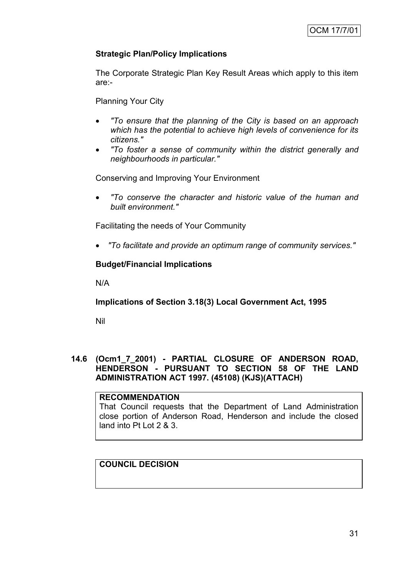# **Strategic Plan/Policy Implications**

The Corporate Strategic Plan Key Result Areas which apply to this item are:-

Planning Your City

- *"To ensure that the planning of the City is based on an approach which has the potential to achieve high levels of convenience for its citizens."*
- *"To foster a sense of community within the district generally and neighbourhoods in particular."*

Conserving and Improving Your Environment

 *"To conserve the character and historic value of the human and built environment."*

Facilitating the needs of Your Community

*"To facilitate and provide an optimum range of community services."*

# **Budget/Financial Implications**

N/A

**Implications of Section 3.18(3) Local Government Act, 1995**

Nil

# **14.6 (Ocm1\_7\_2001) - PARTIAL CLOSURE OF ANDERSON ROAD, HENDERSON - PURSUANT TO SECTION 58 OF THE LAND ADMINISTRATION ACT 1997. (45108) (KJS)(ATTACH)**

# **RECOMMENDATION**

That Council requests that the Department of Land Administration close portion of Anderson Road, Henderson and include the closed land into Pt Lot 2 & 3.

# **COUNCIL DECISION**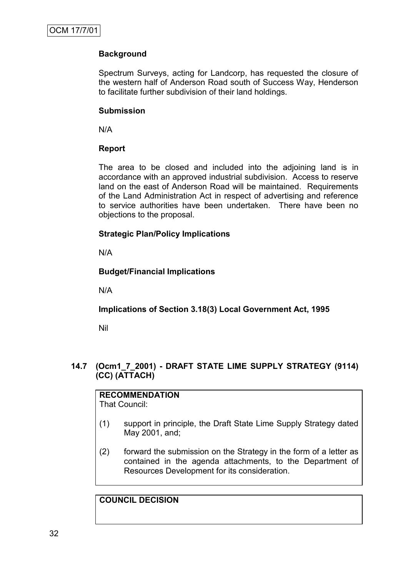# **Background**

Spectrum Surveys, acting for Landcorp, has requested the closure of the western half of Anderson Road south of Success Way, Henderson to facilitate further subdivision of their land holdings.

# **Submission**

N/A

# **Report**

The area to be closed and included into the adjoining land is in accordance with an approved industrial subdivision. Access to reserve land on the east of Anderson Road will be maintained. Requirements of the Land Administration Act in respect of advertising and reference to service authorities have been undertaken. There have been no objections to the proposal.

# **Strategic Plan/Policy Implications**

N/A

# **Budget/Financial Implications**

N/A

# **Implications of Section 3.18(3) Local Government Act, 1995**

Nil

# **14.7 (Ocm1\_7\_2001) - DRAFT STATE LIME SUPPLY STRATEGY (9114) (CC) (ATTACH)**

# **RECOMMENDATION**

That Council:

- (1) support in principle, the Draft State Lime Supply Strategy dated May 2001, and;
- (2) forward the submission on the Strategy in the form of a letter as contained in the agenda attachments, to the Department of Resources Development for its consideration.

# **COUNCIL DECISION**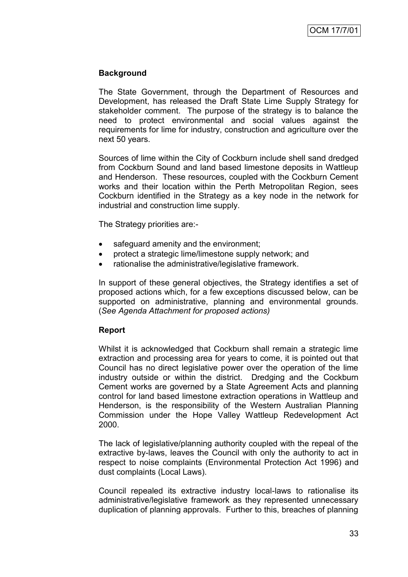# **Background**

The State Government, through the Department of Resources and Development, has released the Draft State Lime Supply Strategy for stakeholder comment. The purpose of the strategy is to balance the need to protect environmental and social values against the requirements for lime for industry, construction and agriculture over the next 50 years.

Sources of lime within the City of Cockburn include shell sand dredged from Cockburn Sound and land based limestone deposits in Wattleup and Henderson. These resources, coupled with the Cockburn Cement works and their location within the Perth Metropolitan Region, sees Cockburn identified in the Strategy as a key node in the network for industrial and construction lime supply.

The Strategy priorities are:-

- safeguard amenity and the environment;
- protect a strategic lime/limestone supply network; and
- rationalise the administrative/legislative framework.

In support of these general objectives, the Strategy identifies a set of proposed actions which, for a few exceptions discussed below, can be supported on administrative, planning and environmental grounds. (*See Agenda Attachment for proposed actions)*

# **Report**

Whilst it is acknowledged that Cockburn shall remain a strategic lime extraction and processing area for years to come, it is pointed out that Council has no direct legislative power over the operation of the lime industry outside or within the district. Dredging and the Cockburn Cement works are governed by a State Agreement Acts and planning control for land based limestone extraction operations in Wattleup and Henderson, is the responsibility of the Western Australian Planning Commission under the Hope Valley Wattleup Redevelopment Act 2000.

The lack of legislative/planning authority coupled with the repeal of the extractive by-laws, leaves the Council with only the authority to act in respect to noise complaints (Environmental Protection Act 1996) and dust complaints (Local Laws).

Council repealed its extractive industry local-laws to rationalise its administrative/legislative framework as they represented unnecessary duplication of planning approvals. Further to this, breaches of planning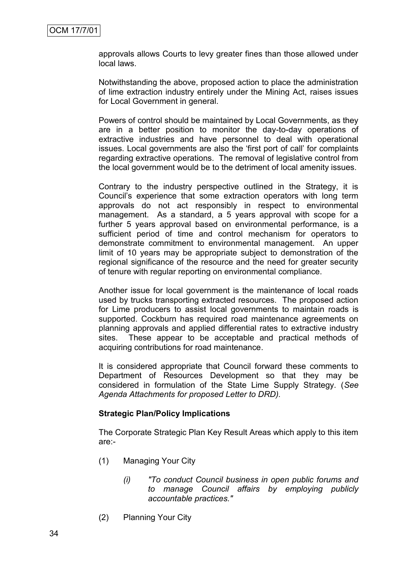approvals allows Courts to levy greater fines than those allowed under local laws.

Notwithstanding the above, proposed action to place the administration of lime extraction industry entirely under the Mining Act, raises issues for Local Government in general.

Powers of control should be maintained by Local Governments, as they are in a better position to monitor the day-to-day operations of extractive industries and have personnel to deal with operational issues. Local governments are also the "first port of call" for complaints regarding extractive operations. The removal of legislative control from the local government would be to the detriment of local amenity issues.

Contrary to the industry perspective outlined in the Strategy, it is Council"s experience that some extraction operators with long term approvals do not act responsibly in respect to environmental management. As a standard, a 5 years approval with scope for a further 5 years approval based on environmental performance, is a sufficient period of time and control mechanism for operators to demonstrate commitment to environmental management. An upper limit of 10 years may be appropriate subject to demonstration of the regional significance of the resource and the need for greater security of tenure with regular reporting on environmental compliance.

Another issue for local government is the maintenance of local roads used by trucks transporting extracted resources. The proposed action for Lime producers to assist local governments to maintain roads is supported. Cockburn has required road maintenance agreements on planning approvals and applied differential rates to extractive industry sites. These appear to be acceptable and practical methods of acquiring contributions for road maintenance.

It is considered appropriate that Council forward these comments to Department of Resources Development so that they may be considered in formulation of the State Lime Supply Strategy. (*See Agenda Attachments for proposed Letter to DRD).*

#### **Strategic Plan/Policy Implications**

The Corporate Strategic Plan Key Result Areas which apply to this item are:-

- (1) Managing Your City
	- *(i) "To conduct Council business in open public forums and to manage Council affairs by employing publicly accountable practices."*
- (2) Planning Your City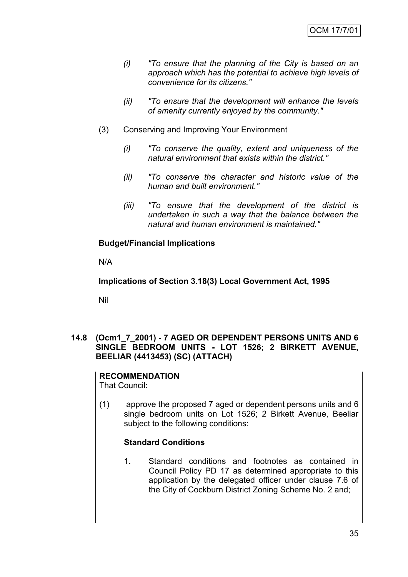- *(i) "To ensure that the planning of the City is based on an approach which has the potential to achieve high levels of convenience for its citizens."*
- *(ii) "To ensure that the development will enhance the levels of amenity currently enjoyed by the community."*
- (3) Conserving and Improving Your Environment
	- *(i) "To conserve the quality, extent and uniqueness of the natural environment that exists within the district."*
	- *(ii) "To conserve the character and historic value of the human and built environment."*
	- *(iii) "To ensure that the development of the district is undertaken in such a way that the balance between the natural and human environment is maintained."*

# **Budget/Financial Implications**

N/A

**Implications of Section 3.18(3) Local Government Act, 1995**

Nil

# **14.8 (Ocm1\_7\_2001) - 7 AGED OR DEPENDENT PERSONS UNITS AND 6 SINGLE BEDROOM UNITS - LOT 1526; 2 BIRKETT AVENUE, BEELIAR (4413453) (SC) (ATTACH)**

#### **RECOMMENDATION** That Council:

(1) approve the proposed 7 aged or dependent persons units and 6 single bedroom units on Lot 1526; 2 Birkett Avenue, Beeliar subject to the following conditions:

# **Standard Conditions**

1. Standard conditions and footnotes as contained in Council Policy PD 17 as determined appropriate to this application by the delegated officer under clause 7.6 of the City of Cockburn District Zoning Scheme No. 2 and;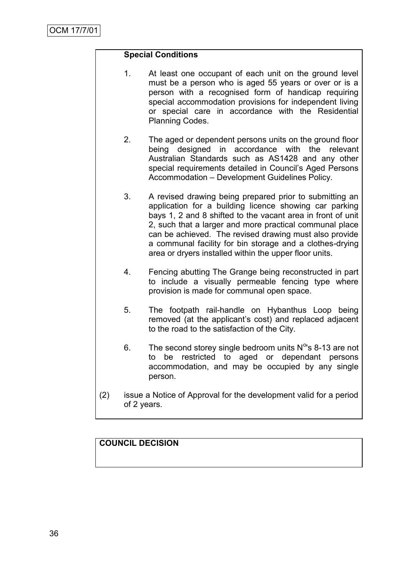# **Special Conditions**

- 1. At least one occupant of each unit on the ground level must be a person who is aged 55 years or over or is a person with a recognised form of handicap requiring special accommodation provisions for independent living or special care in accordance with the Residential Planning Codes.
- 2. The aged or dependent persons units on the ground floor being designed in accordance with the relevant Australian Standards such as AS1428 and any other special requirements detailed in Council's Aged Persons Accommodation – Development Guidelines Policy.
- 3. A revised drawing being prepared prior to submitting an application for a building licence showing car parking bays 1, 2 and 8 shifted to the vacant area in front of unit 2, such that a larger and more practical communal place can be achieved. The revised drawing must also provide a communal facility for bin storage and a clothes-drying area or dryers installed within the upper floor units.
- 4. Fencing abutting The Grange being reconstructed in part to include a visually permeable fencing type where provision is made for communal open space.
- 5. The footpath rail-handle on Hybanthus Loop being removed (at the applicant"s cost) and replaced adjacent to the road to the satisfaction of the City.
- 6. The second storey single bedroom units  $N^{o}$ 's 8-13 are not to be restricted to aged or dependant persons accommodation, and may be occupied by any single person.
- (2) issue a Notice of Approval for the development valid for a period of 2 years.

# **COUNCIL DECISION**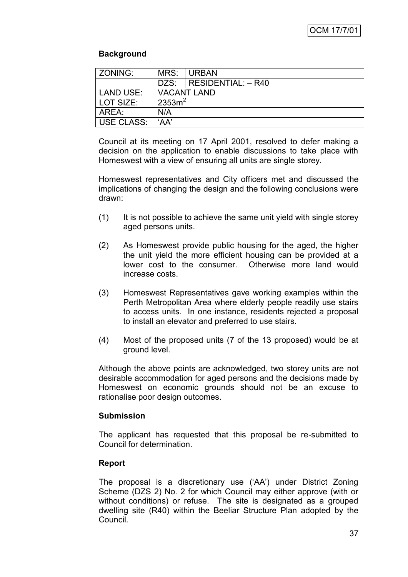# **Background**

| l ZONING:   | MRS:               | URBAN                             |  |
|-------------|--------------------|-----------------------------------|--|
|             |                    | $DZS: \vert$ RESIDENTIAL: $-$ R40 |  |
| LAND USE:   | <b>VACANT LAND</b> |                                   |  |
| l LOT SIZE: | 2353m <sup>2</sup> |                                   |  |
| AREA:       | N/A                |                                   |  |
| USE CLASS:  | 'AA'               |                                   |  |

Council at its meeting on 17 April 2001, resolved to defer making a decision on the application to enable discussions to take place with Homeswest with a view of ensuring all units are single storey.

Homeswest representatives and City officers met and discussed the implications of changing the design and the following conclusions were drawn:

- (1) It is not possible to achieve the same unit yield with single storey aged persons units.
- (2) As Homeswest provide public housing for the aged, the higher the unit yield the more efficient housing can be provided at a lower cost to the consumer. Otherwise more land would increase costs.
- (3) Homeswest Representatives gave working examples within the Perth Metropolitan Area where elderly people readily use stairs to access units. In one instance, residents rejected a proposal to install an elevator and preferred to use stairs.
- (4) Most of the proposed units (7 of the 13 proposed) would be at ground level.

Although the above points are acknowledged, two storey units are not desirable accommodation for aged persons and the decisions made by Homeswest on economic grounds should not be an excuse to rationalise poor design outcomes.

# **Submission**

The applicant has requested that this proposal be re-submitted to Council for determination.

# **Report**

The proposal is a discretionary use ("AA") under District Zoning Scheme (DZS 2) No. 2 for which Council may either approve (with or without conditions) or refuse. The site is designated as a grouped dwelling site (R40) within the Beeliar Structure Plan adopted by the Council.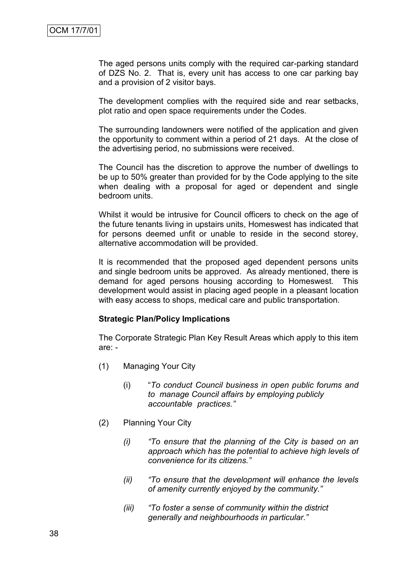The aged persons units comply with the required car-parking standard of DZS No. 2. That is, every unit has access to one car parking bay and a provision of 2 visitor bays.

The development complies with the required side and rear setbacks, plot ratio and open space requirements under the Codes.

The surrounding landowners were notified of the application and given the opportunity to comment within a period of 21 days. At the close of the advertising period, no submissions were received.

The Council has the discretion to approve the number of dwellings to be up to 50% greater than provided for by the Code applying to the site when dealing with a proposal for aged or dependent and single bedroom units.

Whilst it would be intrusive for Council officers to check on the age of the future tenants living in upstairs units, Homeswest has indicated that for persons deemed unfit or unable to reside in the second storey, alternative accommodation will be provided.

It is recommended that the proposed aged dependent persons units and single bedroom units be approved. As already mentioned, there is demand for aged persons housing according to Homeswest. This development would assist in placing aged people in a pleasant location with easy access to shops, medical care and public transportation.

#### **Strategic Plan/Policy Implications**

The Corporate Strategic Plan Key Result Areas which apply to this item are: -

- (1) Managing Your City
	- (i) "*To conduct Council business in open public forums and to manage Council affairs by employing publicly accountable practices."*
- (2) Planning Your City
	- *(i) "To ensure that the planning of the City is based on an approach which has the potential to achieve high levels of convenience for its citizens."*
	- *(ii) "To ensure that the development will enhance the levels of amenity currently enjoyed by the community."*
	- *(iii) "To foster a sense of community within the district generally and neighbourhoods in particular."*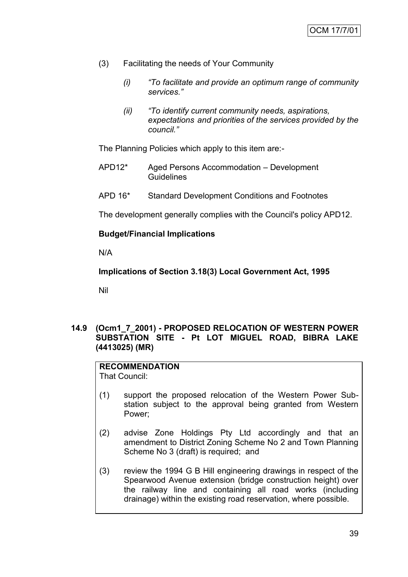- (3) Facilitating the needs of Your Community
	- *(i) "To facilitate and provide an optimum range of community services."*
	- *(ii) "To identify current community needs, aspirations, expectations and priorities of the services provided by the council."*

The Planning Policies which apply to this item are:-

- APD12\* Aged Persons Accommodation Development **Guidelines**
- APD 16\* Standard Development Conditions and Footnotes

The development generally complies with the Council's policy APD12.

# **Budget/Financial Implications**

N/A

**Implications of Section 3.18(3) Local Government Act, 1995**

Nil

# **14.9 (Ocm1\_7\_2001) - PROPOSED RELOCATION OF WESTERN POWER SUBSTATION SITE - Pt LOT MIGUEL ROAD, BIBRA LAKE (4413025) (MR)**

# **RECOMMENDATION**

That Council:

- (1) support the proposed relocation of the Western Power Substation subject to the approval being granted from Western Power;
- (2) advise Zone Holdings Pty Ltd accordingly and that an amendment to District Zoning Scheme No 2 and Town Planning Scheme No 3 (draft) is required; and
- (3) review the 1994 G B Hill engineering drawings in respect of the Spearwood Avenue extension (bridge construction height) over the railway line and containing all road works (including drainage) within the existing road reservation, where possible.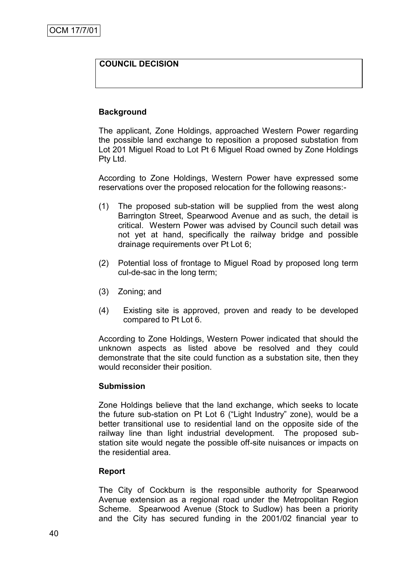# **COUNCIL DECISION**

#### **Background**

The applicant, Zone Holdings, approached Western Power regarding the possible land exchange to reposition a proposed substation from Lot 201 Miguel Road to Lot Pt 6 Miguel Road owned by Zone Holdings Pty Ltd.

According to Zone Holdings, Western Power have expressed some reservations over the proposed relocation for the following reasons:-

- (1) The proposed sub-station will be supplied from the west along Barrington Street, Spearwood Avenue and as such, the detail is critical. Western Power was advised by Council such detail was not yet at hand, specifically the railway bridge and possible drainage requirements over Pt Lot 6;
- (2) Potential loss of frontage to Miguel Road by proposed long term cul-de-sac in the long term;
- (3) Zoning; and
- (4) Existing site is approved, proven and ready to be developed compared to Pt Lot 6.

According to Zone Holdings, Western Power indicated that should the unknown aspects as listed above be resolved and they could demonstrate that the site could function as a substation site, then they would reconsider their position.

#### **Submission**

Zone Holdings believe that the land exchange, which seeks to locate the future sub-station on Pt Lot 6 ("Light Industry" zone), would be a better transitional use to residential land on the opposite side of the railway line than light industrial development. The proposed substation site would negate the possible off-site nuisances or impacts on the residential area.

# **Report**

The City of Cockburn is the responsible authority for Spearwood Avenue extension as a regional road under the Metropolitan Region Scheme. Spearwood Avenue (Stock to Sudlow) has been a priority and the City has secured funding in the 2001/02 financial year to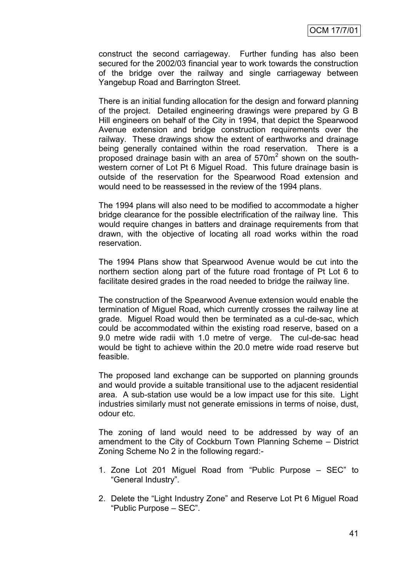construct the second carriageway. Further funding has also been secured for the 2002/03 financial year to work towards the construction of the bridge over the railway and single carriageway between Yangebup Road and Barrington Street.

There is an initial funding allocation for the design and forward planning of the project. Detailed engineering drawings were prepared by G B Hill engineers on behalf of the City in 1994, that depict the Spearwood Avenue extension and bridge construction requirements over the railway. These drawings show the extent of earthworks and drainage being generally contained within the road reservation. There is a proposed drainage basin with an area of  $570m<sup>2</sup>$  shown on the southwestern corner of Lot Pt 6 Miguel Road. This future drainage basin is outside of the reservation for the Spearwood Road extension and would need to be reassessed in the review of the 1994 plans.

The 1994 plans will also need to be modified to accommodate a higher bridge clearance for the possible electrification of the railway line. This would require changes in batters and drainage requirements from that drawn, with the objective of locating all road works within the road reservation.

The 1994 Plans show that Spearwood Avenue would be cut into the northern section along part of the future road frontage of Pt Lot 6 to facilitate desired grades in the road needed to bridge the railway line.

The construction of the Spearwood Avenue extension would enable the termination of Miguel Road, which currently crosses the railway line at grade. Miguel Road would then be terminated as a cul-de-sac, which could be accommodated within the existing road reserve, based on a 9.0 metre wide radii with 1.0 metre of verge. The cul-de-sac head would be tight to achieve within the 20.0 metre wide road reserve but feasible.

The proposed land exchange can be supported on planning grounds and would provide a suitable transitional use to the adjacent residential area. A sub-station use would be a low impact use for this site. Light industries similarly must not generate emissions in terms of noise, dust, odour etc.

The zoning of land would need to be addressed by way of an amendment to the City of Cockburn Town Planning Scheme – District Zoning Scheme No 2 in the following regard:-

- 1. Zone Lot 201 Miguel Road from "Public Purpose SEC" to "General Industry".
- 2. Delete the "Light Industry Zone" and Reserve Lot Pt 6 Miguel Road "Public Purpose – SEC".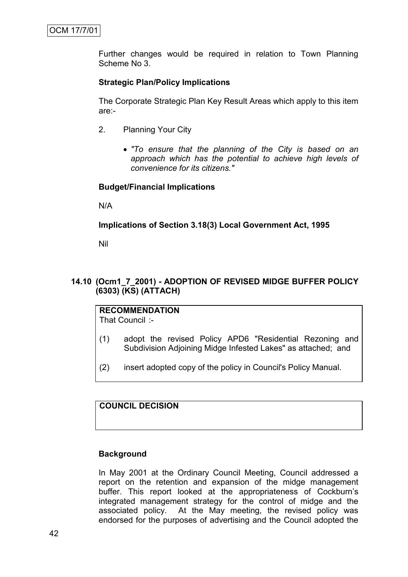Further changes would be required in relation to Town Planning Scheme No 3.

# **Strategic Plan/Policy Implications**

The Corporate Strategic Plan Key Result Areas which apply to this item are:-

- 2. Planning Your City
	- *"To ensure that the planning of the City is based on an approach which has the potential to achieve high levels of convenience for its citizens."*

#### **Budget/Financial Implications**

N/A

#### **Implications of Section 3.18(3) Local Government Act, 1995**

Nil

# **14.10 (Ocm1\_7\_2001) - ADOPTION OF REVISED MIDGE BUFFER POLICY (6303) (KS) (ATTACH)**

# **RECOMMENDATION**

That Council :-

- (1) adopt the revised Policy APD6 "Residential Rezoning and Subdivision Adjoining Midge Infested Lakes" as attached; and
- (2) insert adopted copy of the policy in Council's Policy Manual.

# **COUNCIL DECISION**

#### **Background**

In May 2001 at the Ordinary Council Meeting, Council addressed a report on the retention and expansion of the midge management buffer. This report looked at the appropriateness of Cockburn"s integrated management strategy for the control of midge and the associated policy. At the May meeting, the revised policy was endorsed for the purposes of advertising and the Council adopted the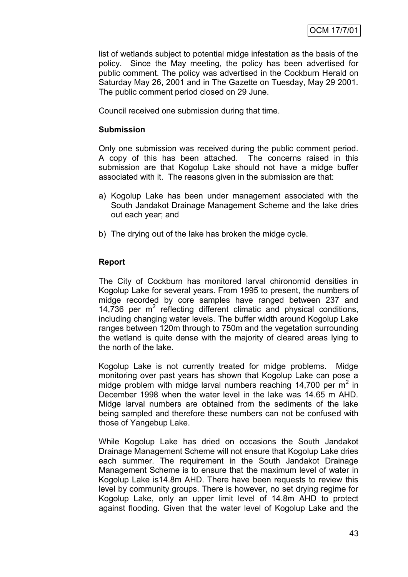list of wetlands subject to potential midge infestation as the basis of the policy. Since the May meeting, the policy has been advertised for public comment. The policy was advertised in the Cockburn Herald on Saturday May 26, 2001 and in The Gazette on Tuesday, May 29 2001. The public comment period closed on 29 June.

Council received one submission during that time.

#### **Submission**

Only one submission was received during the public comment period. A copy of this has been attached. The concerns raised in this submission are that Kogolup Lake should not have a midge buffer associated with it. The reasons given in the submission are that:

- a) Kogolup Lake has been under management associated with the South Jandakot Drainage Management Scheme and the lake dries out each year; and
- b) The drying out of the lake has broken the midge cycle.

# **Report**

The City of Cockburn has monitored larval chironomid densities in Kogolup Lake for several years. From 1995 to present, the numbers of midge recorded by core samples have ranged between 237 and 14,736 per  $m^2$  reflecting different climatic and physical conditions, including changing water levels. The buffer width around Kogolup Lake ranges between 120m through to 750m and the vegetation surrounding the wetland is quite dense with the majority of cleared areas lying to the north of the lake.

Kogolup Lake is not currently treated for midge problems. Midge monitoring over past years has shown that Kogolup Lake can pose a midge problem with midge larval numbers reaching 14,700 per  $m^2$  in December 1998 when the water level in the lake was 14.65 m AHD. Midge larval numbers are obtained from the sediments of the lake being sampled and therefore these numbers can not be confused with those of Yangebup Lake.

While Kogolup Lake has dried on occasions the South Jandakot Drainage Management Scheme will not ensure that Kogolup Lake dries each summer. The requirement in the South Jandakot Drainage Management Scheme is to ensure that the maximum level of water in Kogolup Lake is14.8m AHD. There have been requests to review this level by community groups. There is however, no set drying regime for Kogolup Lake, only an upper limit level of 14.8m AHD to protect against flooding. Given that the water level of Kogolup Lake and the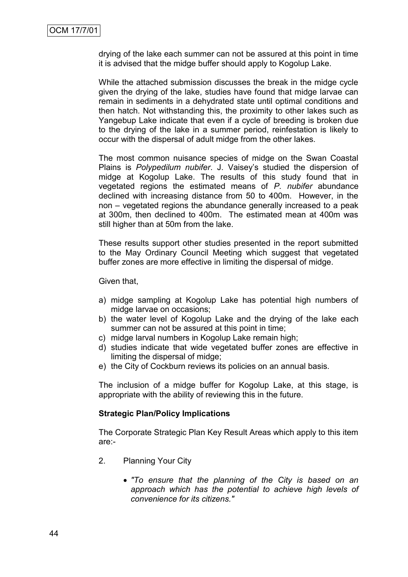drying of the lake each summer can not be assured at this point in time it is advised that the midge buffer should apply to Kogolup Lake.

While the attached submission discusses the break in the midge cycle given the drying of the lake, studies have found that midge larvae can remain in sediments in a dehydrated state until optimal conditions and then hatch. Not withstanding this, the proximity to other lakes such as Yangebup Lake indicate that even if a cycle of breeding is broken due to the drying of the lake in a summer period, reinfestation is likely to occur with the dispersal of adult midge from the other lakes.

The most common nuisance species of midge on the Swan Coastal Plains is *Polypedilum nubifer*. J. Vaisey"s studied the dispersion of midge at Kogolup Lake. The results of this study found that in vegetated regions the estimated means of *P. nubifer* abundance declined with increasing distance from 50 to 400m. However, in the non – vegetated regions the abundance generally increased to a peak at 300m, then declined to 400m. The estimated mean at 400m was still higher than at 50m from the lake.

These results support other studies presented in the report submitted to the May Ordinary Council Meeting which suggest that vegetated buffer zones are more effective in limiting the dispersal of midge.

Given that,

- a) midge sampling at Kogolup Lake has potential high numbers of midge larvae on occasions;
- b) the water level of Kogolup Lake and the drying of the lake each summer can not be assured at this point in time;
- c) midge larval numbers in Kogolup Lake remain high;
- d) studies indicate that wide vegetated buffer zones are effective in limiting the dispersal of midge;
- e) the City of Cockburn reviews its policies on an annual basis.

The inclusion of a midge buffer for Kogolup Lake, at this stage, is appropriate with the ability of reviewing this in the future.

# **Strategic Plan/Policy Implications**

The Corporate Strategic Plan Key Result Areas which apply to this item are:-

- 2. Planning Your City
	- *"To ensure that the planning of the City is based on an approach which has the potential to achieve high levels of convenience for its citizens."*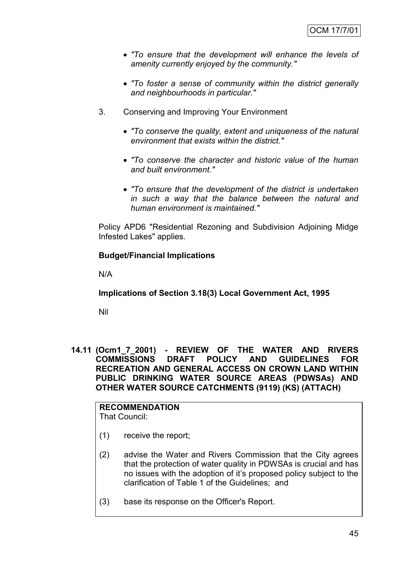- *"To ensure that the development will enhance the levels of amenity currently enjoyed by the community."*
- *"To foster a sense of community within the district generally and neighbourhoods in particular."*
- 3. Conserving and Improving Your Environment
	- *"To conserve the quality, extent and uniqueness of the natural environment that exists within the district."*
	- *"To conserve the character and historic value of the human and built environment."*
	- *"To ensure that the development of the district is undertaken in such a way that the balance between the natural and human environment is maintained."*

Policy APD6 "Residential Rezoning and Subdivision Adjoining Midge Infested Lakes" applies.

# **Budget/Financial Implications**

N/A

**Implications of Section 3.18(3) Local Government Act, 1995**

Nil

**14.11 (Ocm1\_7\_2001) - REVIEW OF THE WATER AND RIVERS COMMISSIONS DRAFT POLICY AND GUIDELINES FOR RECREATION AND GENERAL ACCESS ON CROWN LAND WITHIN PUBLIC DRINKING WATER SOURCE AREAS (PDWSAs) AND OTHER WATER SOURCE CATCHMENTS (9119) (KS) (ATTACH)**

# **RECOMMENDATION**

That Council:

- (1) receive the report;
- (2) advise the Water and Rivers Commission that the City agrees that the protection of water quality in PDWSAs is crucial and has no issues with the adoption of it"s proposed policy subject to the clarification of Table 1 of the Guidelines; and
- (3) base its response on the Officer's Report.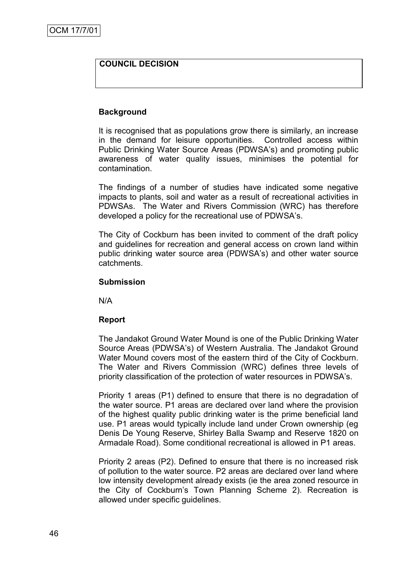# **COUNCIL DECISION**

#### **Background**

It is recognised that as populations grow there is similarly, an increase in the demand for leisure opportunities. Controlled access within Public Drinking Water Source Areas (PDWSA"s) and promoting public awareness of water quality issues, minimises the potential for contamination.

The findings of a number of studies have indicated some negative impacts to plants, soil and water as a result of recreational activities in PDWSAs. The Water and Rivers Commission (WRC) has therefore developed a policy for the recreational use of PDWSA"s.

The City of Cockburn has been invited to comment of the draft policy and guidelines for recreation and general access on crown land within public drinking water source area (PDWSA"s) and other water source catchments.

#### **Submission**

N/A

# **Report**

The Jandakot Ground Water Mound is one of the Public Drinking Water Source Areas (PDWSA"s) of Western Australia. The Jandakot Ground Water Mound covers most of the eastern third of the City of Cockburn. The Water and Rivers Commission (WRC) defines three levels of priority classification of the protection of water resources in PDWSA"s.

Priority 1 areas (P1) defined to ensure that there is no degradation of the water source. P1 areas are declared over land where the provision of the highest quality public drinking water is the prime beneficial land use. P1 areas would typically include land under Crown ownership (eg Denis De Young Reserve, Shirley Balla Swamp and Reserve 1820 on Armadale Road). Some conditional recreational is allowed in P1 areas.

Priority 2 areas (P2). Defined to ensure that there is no increased risk of pollution to the water source. P2 areas are declared over land where low intensity development already exists (ie the area zoned resource in the City of Cockburn"s Town Planning Scheme 2). Recreation is allowed under specific guidelines.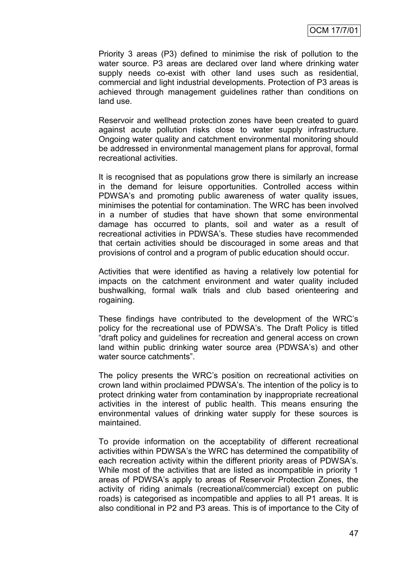Priority 3 areas (P3) defined to minimise the risk of pollution to the water source. P3 areas are declared over land where drinking water supply needs co-exist with other land uses such as residential, commercial and light industrial developments. Protection of P3 areas is achieved through management guidelines rather than conditions on land use.

Reservoir and wellhead protection zones have been created to guard against acute pollution risks close to water supply infrastructure. Ongoing water quality and catchment environmental monitoring should be addressed in environmental management plans for approval, formal recreational activities.

It is recognised that as populations grow there is similarly an increase in the demand for leisure opportunities. Controlled access within PDWSA's and promoting public awareness of water quality issues, minimises the potential for contamination. The WRC has been involved in a number of studies that have shown that some environmental damage has occurred to plants, soil and water as a result of recreational activities in PDWSA"s. These studies have recommended that certain activities should be discouraged in some areas and that provisions of control and a program of public education should occur.

Activities that were identified as having a relatively low potential for impacts on the catchment environment and water quality included bushwalking, formal walk trials and club based orienteering and rogaining.

These findings have contributed to the development of the WRC"s policy for the recreational use of PDWSA"s. The Draft Policy is titled "draft policy and guidelines for recreation and general access on crown land within public drinking water source area (PDWSA"s) and other water source catchments".

The policy presents the WRC"s position on recreational activities on crown land within proclaimed PDWSA"s. The intention of the policy is to protect drinking water from contamination by inappropriate recreational activities in the interest of public health. This means ensuring the environmental values of drinking water supply for these sources is maintained.

To provide information on the acceptability of different recreational activities within PDWSA"s the WRC has determined the compatibility of each recreation activity within the different priority areas of PDWSA"s. While most of the activities that are listed as incompatible in priority 1 areas of PDWSA"s apply to areas of Reservoir Protection Zones, the activity of riding animals (recreational/commercial) except on public roads) is categorised as incompatible and applies to all P1 areas. It is also conditional in P2 and P3 areas. This is of importance to the City of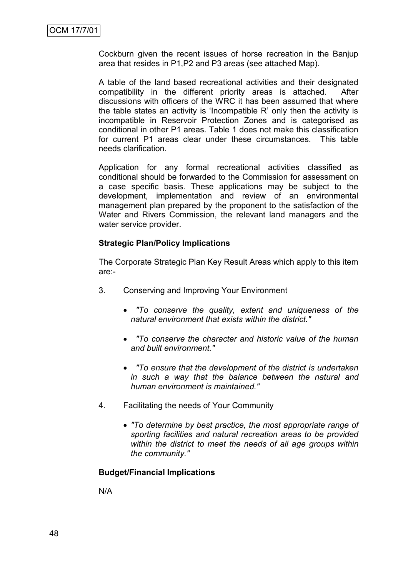Cockburn given the recent issues of horse recreation in the Banjup area that resides in P1,P2 and P3 areas (see attached Map).

A table of the land based recreational activities and their designated compatibility in the different priority areas is attached. After discussions with officers of the WRC it has been assumed that where the table states an activity is "Incompatible R" only then the activity is incompatible in Reservoir Protection Zones and is categorised as conditional in other P1 areas. Table 1 does not make this classification for current P1 areas clear under these circumstances. This table needs clarification.

Application for any formal recreational activities classified as conditional should be forwarded to the Commission for assessment on a case specific basis. These applications may be subject to the development, implementation and review of an environmental management plan prepared by the proponent to the satisfaction of the Water and Rivers Commission, the relevant land managers and the water service provider.

# **Strategic Plan/Policy Implications**

The Corporate Strategic Plan Key Result Areas which apply to this item are:-

- 3. Conserving and Improving Your Environment
	- *"To conserve the quality, extent and uniqueness of the natural environment that exists within the district."*
	- *"To conserve the character and historic value of the human and built environment."*
	- *"To ensure that the development of the district is undertaken in such a way that the balance between the natural and human environment is maintained."*
- 4. Facilitating the needs of Your Community
	- *"To determine by best practice, the most appropriate range of sporting facilities and natural recreation areas to be provided within the district to meet the needs of all age groups within the community."*

#### **Budget/Financial Implications**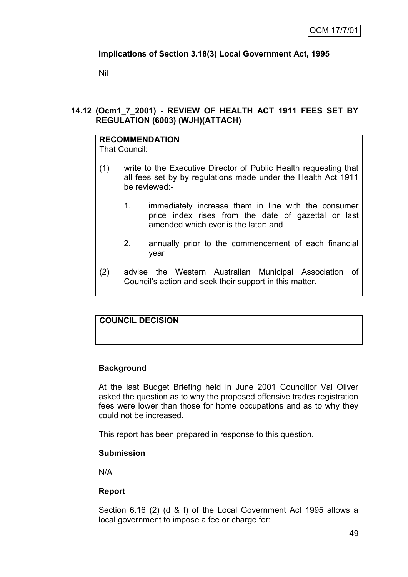# **Implications of Section 3.18(3) Local Government Act, 1995**

Nil

# **14.12 (Ocm1\_7\_2001) - REVIEW OF HEALTH ACT 1911 FEES SET BY REGULATION (6003) (WJH)(ATTACH)**

# **RECOMMENDATION**

That Council:

- (1) write to the Executive Director of Public Health requesting that all fees set by by regulations made under the Health Act 1911 be reviewed:-
	- 1. immediately increase them in line with the consumer price index rises from the date of gazettal or last amended which ever is the later; and
	- 2. annually prior to the commencement of each financial year
- (2) advise the Western Australian Municipal Association of Council"s action and seek their support in this matter.

# **COUNCIL DECISION**

# **Background**

At the last Budget Briefing held in June 2001 Councillor Val Oliver asked the question as to why the proposed offensive trades registration fees were lower than those for home occupations and as to why they could not be increased.

This report has been prepared in response to this question.

# **Submission**

N/A

# **Report**

Section 6.16 (2) (d & f) of the Local Government Act 1995 allows a local government to impose a fee or charge for: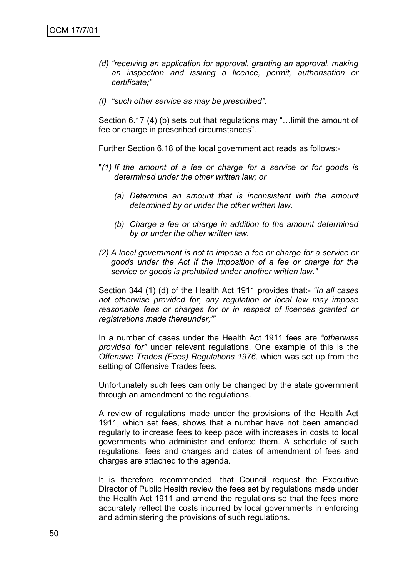- *(d) "receiving an application for approval, granting an approval, making an inspection and issuing a licence, permit, authorisation or certificate;"*
- *(f) "such other service as may be prescribed".*

Section 6.17 (4) (b) sets out that regulations may "…limit the amount of fee or charge in prescribed circumstances".

Further Section 6.18 of the local government act reads as follows:-

- "*(1) If the amount of a fee or charge for a service or for goods is determined under the other written law; or*
	- *(a) Determine an amount that is inconsistent with the amount determined by or under the other written law.*
	- *(b) Charge a fee or charge in addition to the amount determined by or under the other written law.*
- *(2) A local government is not to impose a fee or charge for a service or goods under the Act if the imposition of a fee or charge for the service or goods is prohibited under another written law."*

Section 344 (1) (d) of the Health Act 1911 provides that:- *"In all cases not otherwise provided for, any regulation or local law may impose reasonable fees or charges for or in respect of licences granted or registrations made thereunder;'"*

In a number of cases under the Health Act 1911 fees are *"otherwise provided for"* under relevant regulations. One example of this is the *Offensive Trades (Fees) Regulations 1976*, which was set up from the setting of Offensive Trades fees.

Unfortunately such fees can only be changed by the state government through an amendment to the regulations.

A review of regulations made under the provisions of the Health Act 1911, which set fees, shows that a number have not been amended regularly to increase fees to keep pace with increases in costs to local governments who administer and enforce them. A schedule of such regulations, fees and charges and dates of amendment of fees and charges are attached to the agenda.

It is therefore recommended, that Council request the Executive Director of Public Health review the fees set by regulations made under the Health Act 1911 and amend the regulations so that the fees more accurately reflect the costs incurred by local governments in enforcing and administering the provisions of such regulations.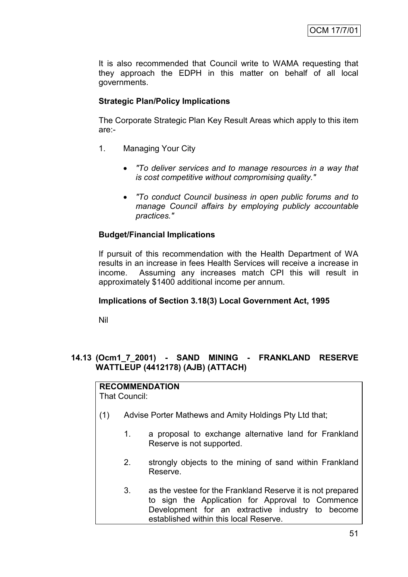It is also recommended that Council write to WAMA requesting that they approach the EDPH in this matter on behalf of all local governments.

# **Strategic Plan/Policy Implications**

The Corporate Strategic Plan Key Result Areas which apply to this item are:-

- 1. Managing Your City
	- *"To deliver services and to manage resources in a way that is cost competitive without compromising quality."*
	- *"To conduct Council business in open public forums and to manage Council affairs by employing publicly accountable practices."*

# **Budget/Financial Implications**

If pursuit of this recommendation with the Health Department of WA results in an increase in fees Health Services will receive a increase in income. Assuming any increases match CPI this will result in approximately \$1400 additional income per annum.

# **Implications of Section 3.18(3) Local Government Act, 1995**

Nil

# **14.13 (Ocm1\_7\_2001) - SAND MINING - FRANKLAND RESERVE WATTLEUP (4412178) (AJB) (ATTACH)**

#### **RECOMMENDATION** That Council:

- (1) Advise Porter Mathews and Amity Holdings Pty Ltd that;
	- 1. a proposal to exchange alternative land for Frankland Reserve is not supported.
	- 2. strongly objects to the mining of sand within Frankland Reserve.
	- 3. as the vestee for the Frankland Reserve it is not prepared to sign the Application for Approval to Commence Development for an extractive industry to become established within this local Reserve.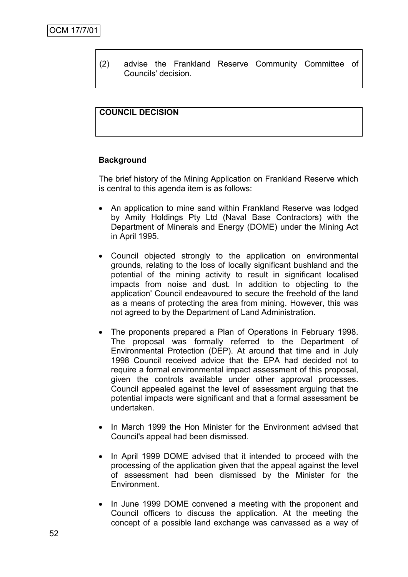(2) advise the Frankland Reserve Community Committee of Councils' decision.

# **COUNCIL DECISION**

#### **Background**

The brief history of the Mining Application on Frankland Reserve which is central to this agenda item is as follows:

- An application to mine sand within Frankland Reserve was lodged by Amity Holdings Pty Ltd (Naval Base Contractors) with the Department of Minerals and Energy (DOME) under the Mining Act in April 1995.
- Council objected strongly to the application on environmental grounds, relating to the loss of locally significant bushland and the potential of the mining activity to result in significant localised impacts from noise and dust. In addition to objecting to the application' Council endeavoured to secure the freehold of the land as a means of protecting the area from mining. However, this was not agreed to by the Department of Land Administration.
- The proponents prepared a Plan of Operations in February 1998. The proposal was formally referred to the Department of Environmental Protection (DEP). At around that time and in July 1998 Council received advice that the EPA had decided not to require a formal environmental impact assessment of this proposal, given the controls available under other approval processes. Council appealed against the level of assessment arguing that the potential impacts were significant and that a formal assessment be undertaken.
- In March 1999 the Hon Minister for the Environment advised that Council's appeal had been dismissed.
- In April 1999 DOME advised that it intended to proceed with the processing of the application given that the appeal against the level of assessment had been dismissed by the Minister for the **Environment**
- In June 1999 DOME convened a meeting with the proponent and Council officers to discuss the application. At the meeting the concept of a possible land exchange was canvassed as a way of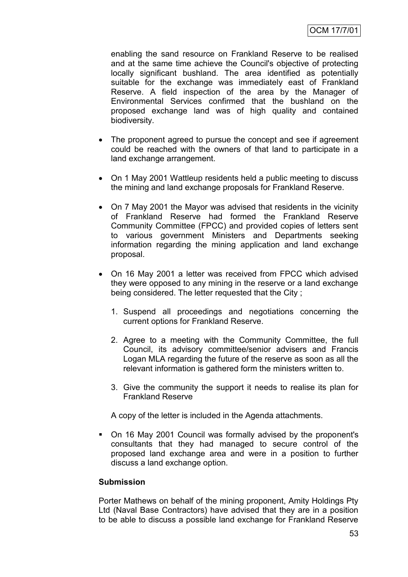enabling the sand resource on Frankland Reserve to be realised and at the same time achieve the Council's objective of protecting locally significant bushland. The area identified as potentially suitable for the exchange was immediately east of Frankland Reserve. A field inspection of the area by the Manager of Environmental Services confirmed that the bushland on the proposed exchange land was of high quality and contained biodiversity.

- The proponent agreed to pursue the concept and see if agreement could be reached with the owners of that land to participate in a land exchange arrangement.
- On 1 May 2001 Wattleup residents held a public meeting to discuss the mining and land exchange proposals for Frankland Reserve.
- On 7 May 2001 the Mayor was advised that residents in the vicinity of Frankland Reserve had formed the Frankland Reserve Community Committee (FPCC) and provided copies of letters sent to various government Ministers and Departments seeking information regarding the mining application and land exchange proposal.
- On 16 May 2001 a letter was received from FPCC which advised they were opposed to any mining in the reserve or a land exchange being considered. The letter requested that the City ;
	- 1. Suspend all proceedings and negotiations concerning the current options for Frankland Reserve.
	- 2. Agree to a meeting with the Community Committee, the full Council, its advisory committee/senior advisers and Francis Logan MLA regarding the future of the reserve as soon as all the relevant information is gathered form the ministers written to.
	- 3. Give the community the support it needs to realise its plan for Frankland Reserve

A copy of the letter is included in the Agenda attachments.

 On 16 May 2001 Council was formally advised by the proponent's consultants that they had managed to secure control of the proposed land exchange area and were in a position to further discuss a land exchange option.

# **Submission**

Porter Mathews on behalf of the mining proponent, Amity Holdings Pty Ltd (Naval Base Contractors) have advised that they are in a position to be able to discuss a possible land exchange for Frankland Reserve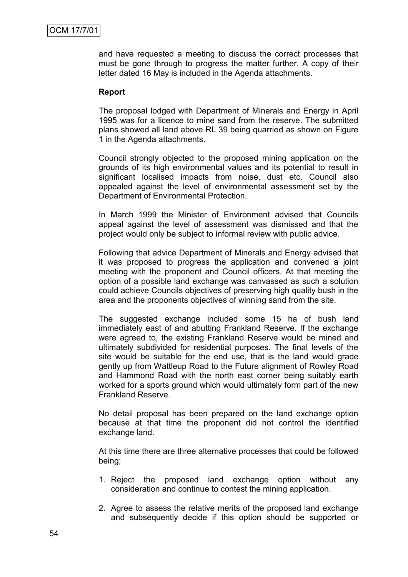and have requested a meeting to discuss the correct processes that must be gone through to progress the matter further. A copy of their letter dated 16 May is included in the Agenda attachments.

#### **Report**

The proposal lodged with Department of Minerals and Energy in April 1995 was for a licence to mine sand from the reserve. The submitted plans showed all land above RL 39 being quarried as shown on Figure 1 in the Agenda attachments.

Council strongly objected to the proposed mining application on the grounds of its high environmental values and its potential to result in significant localised impacts from noise, dust etc. Council also appealed against the level of environmental assessment set by the Department of Environmental Protection.

In March 1999 the Minister of Environment advised that Councils appeal against the level of assessment was dismissed and that the project would only be subject to informal review with public advice.

Following that advice Department of Minerals and Energy advised that it was proposed to progress the application and convened a joint meeting with the proponent and Council officers. At that meeting the option of a possible land exchange was canvassed as such a solution could achieve Councils objectives of preserving high quality bush in the area and the proponents objectives of winning sand from the site.

The suggested exchange included some 15 ha of bush land immediately east of and abutting Frankland Reserve. If the exchange were agreed to, the existing Frankland Reserve would be mined and ultimately subdivided for residential purposes. The final levels of the site would be suitable for the end use, that is the land would grade gently up from Wattleup Road to the Future alignment of Rowley Road and Hammond Road with the north east corner being suitably earth worked for a sports ground which would ultimately form part of the new Frankland Reserve.

No detail proposal has been prepared on the land exchange option because at that time the proponent did not control the identified exchange land.

At this time there are three alternative processes that could be followed being;

- 1. Reject the proposed land exchange option without any consideration and continue to contest the mining application.
- 2. Agree to assess the relative merits of the proposed land exchange and subsequently decide if this option should be supported or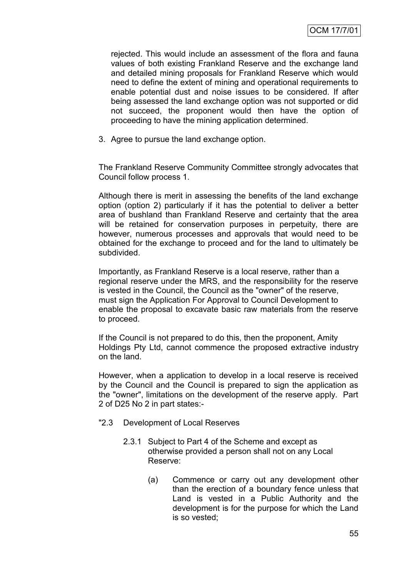rejected. This would include an assessment of the flora and fauna values of both existing Frankland Reserve and the exchange land and detailed mining proposals for Frankland Reserve which would need to define the extent of mining and operational requirements to enable potential dust and noise issues to be considered. If after being assessed the land exchange option was not supported or did not succeed, the proponent would then have the option of proceeding to have the mining application determined.

3. Agree to pursue the land exchange option.

The Frankland Reserve Community Committee strongly advocates that Council follow process 1.

Although there is merit in assessing the benefits of the land exchange option (option 2) particularly if it has the potential to deliver a better area of bushland than Frankland Reserve and certainty that the area will be retained for conservation purposes in perpetuity, there are however, numerous processes and approvals that would need to be obtained for the exchange to proceed and for the land to ultimately be subdivided.

Importantly, as Frankland Reserve is a local reserve, rather than a regional reserve under the MRS, and the responsibility for the reserve is vested in the Council, the Council as the "owner" of the reserve, must sign the Application For Approval to Council Development to enable the proposal to excavate basic raw materials from the reserve to proceed.

If the Council is not prepared to do this, then the proponent, Amity Holdings Pty Ltd, cannot commence the proposed extractive industry on the land.

However, when a application to develop in a local reserve is received by the Council and the Council is prepared to sign the application as the "owner", limitations on the development of the reserve apply. Part 2 of D25 No 2 in part states:-

- "2.3 Development of Local Reserves
	- 2.3.1 Subject to Part 4 of the Scheme and except as otherwise provided a person shall not on any Local Reserve:
		- (a) Commence or carry out any development other than the erection of a boundary fence unless that Land is vested in a Public Authority and the development is for the purpose for which the Land is so vested;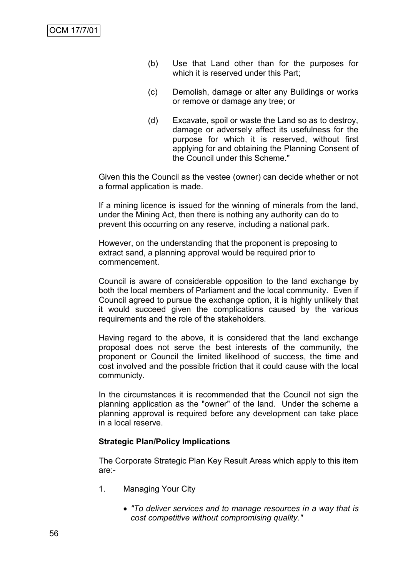- (b) Use that Land other than for the purposes for which it is reserved under this Part;
- (c) Demolish, damage or alter any Buildings or works or remove or damage any tree; or
- (d) Excavate, spoil or waste the Land so as to destroy, damage or adversely affect its usefulness for the purpose for which it is reserved, without first applying for and obtaining the Planning Consent of the Council under this Scheme."

Given this the Council as the vestee (owner) can decide whether or not a formal application is made.

If a mining licence is issued for the winning of minerals from the land, under the Mining Act, then there is nothing any authority can do to prevent this occurring on any reserve, including a national park.

However, on the understanding that the proponent is preposing to extract sand, a planning approval would be required prior to commencement.

Council is aware of considerable opposition to the land exchange by both the local members of Parliament and the local community. Even if Council agreed to pursue the exchange option, it is highly unlikely that it would succeed given the complications caused by the various requirements and the role of the stakeholders.

Having regard to the above, it is considered that the land exchange proposal does not serve the best interests of the community, the proponent or Council the limited likelihood of success, the time and cost involved and the possible friction that it could cause with the local communicty.

In the circumstances it is recommended that the Council not sign the planning application as the "owner" of the land. Under the scheme a planning approval is required before any development can take place in a local reserve.

# **Strategic Plan/Policy Implications**

The Corporate Strategic Plan Key Result Areas which apply to this item are:-

- 1. Managing Your City
	- *"To deliver services and to manage resources in a way that is cost competitive without compromising quality."*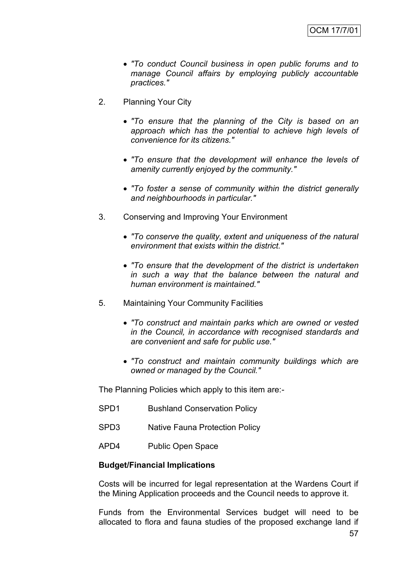- *"To conduct Council business in open public forums and to manage Council affairs by employing publicly accountable practices."*
- 2. Planning Your City
	- *"To ensure that the planning of the City is based on an approach which has the potential to achieve high levels of convenience for its citizens."*
	- *"To ensure that the development will enhance the levels of amenity currently enjoyed by the community."*
	- *"To foster a sense of community within the district generally and neighbourhoods in particular."*
- 3. Conserving and Improving Your Environment
	- *"To conserve the quality, extent and uniqueness of the natural environment that exists within the district."*
	- *"To ensure that the development of the district is undertaken in such a way that the balance between the natural and human environment is maintained."*
- 5. Maintaining Your Community Facilities
	- *"To construct and maintain parks which are owned or vested in the Council, in accordance with recognised standards and are convenient and safe for public use."*
	- *"To construct and maintain community buildings which are owned or managed by the Council."*

The Planning Policies which apply to this item are:-

- SPD1 Bushland Conservation Policy
- SPD3 Native Fauna Protection Policy
- APD4 Public Open Space

#### **Budget/Financial Implications**

Costs will be incurred for legal representation at the Wardens Court if the Mining Application proceeds and the Council needs to approve it.

Funds from the Environmental Services budget will need to be allocated to flora and fauna studies of the proposed exchange land if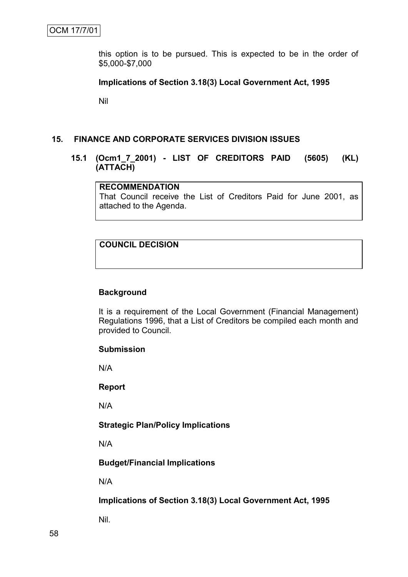this option is to be pursued. This is expected to be in the order of \$5,000-\$7,000

#### **Implications of Section 3.18(3) Local Government Act, 1995**

Nil

#### **15. FINANCE AND CORPORATE SERVICES DIVISION ISSUES**

# **15.1 (Ocm1\_7\_2001) - LIST OF CREDITORS PAID (5605) (KL) (ATTACH)**

# **RECOMMENDATION**

That Council receive the List of Creditors Paid for June 2001, as attached to the Agenda.

# **COUNCIL DECISION**

#### **Background**

It is a requirement of the Local Government (Financial Management) Regulations 1996, that a List of Creditors be compiled each month and provided to Council.

#### **Submission**

N/A

#### **Report**

N/A

#### **Strategic Plan/Policy Implications**

N/A

# **Budget/Financial Implications**

N/A

**Implications of Section 3.18(3) Local Government Act, 1995**

Nil.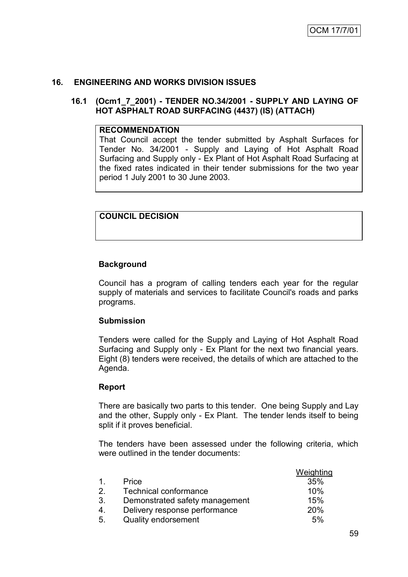# **16. ENGINEERING AND WORKS DIVISION ISSUES**

#### **16.1 (Ocm1\_7\_2001) - TENDER NO.34/2001 - SUPPLY AND LAYING OF HOT ASPHALT ROAD SURFACING (4437) (IS) (ATTACH)**

#### **RECOMMENDATION**

That Council accept the tender submitted by Asphalt Surfaces for Tender No. 34/2001 - Supply and Laying of Hot Asphalt Road Surfacing and Supply only - Ex Plant of Hot Asphalt Road Surfacing at the fixed rates indicated in their tender submissions for the two year period 1 July 2001 to 30 June 2003.

# **COUNCIL DECISION**

# **Background**

Council has a program of calling tenders each year for the regular supply of materials and services to facilitate Council's roads and parks programs.

# **Submission**

Tenders were called for the Supply and Laying of Hot Asphalt Road Surfacing and Supply only - Ex Plant for the next two financial years. Eight (8) tenders were received, the details of which are attached to the Agenda.

# **Report**

There are basically two parts to this tender. One being Supply and Lay and the other, Supply only - Ex Plant. The tender lends itself to being split if it proves beneficial.

The tenders have been assessed under the following criteria, which were outlined in the tender documents:

|                |                                | Weighting |
|----------------|--------------------------------|-----------|
| $\mathbf{1}$   | Price                          | 35%       |
| 2 <sub>1</sub> | Technical conformance          | 10%       |
| 3.             | Demonstrated safety management | 15%       |
| 4.             | Delivery response performance  | 20%       |
| 5.             | <b>Quality endorsement</b>     | 5%        |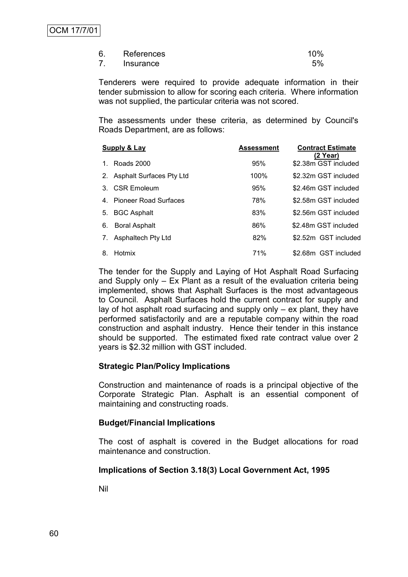| 6. | References | 10% |
|----|------------|-----|
|    | Insurance  | 5%  |

Tenderers were required to provide adequate information in their tender submission to allow for scoring each criteria. Where information was not supplied, the particular criteria was not scored.

The assessments under these criteria, as determined by Council's Roads Department, are as follows:

| <b>Supply &amp; Lay</b>     | Assessment | <b>Contract Estimate</b><br>(2 Year) |
|-----------------------------|------------|--------------------------------------|
| Roads 2000<br>1.            | 95%        | \$2.38m GST included                 |
| 2. Asphalt Surfaces Pty Ltd | 100%       | \$2.32m GST included                 |
| CSR Emoleum<br>3            | 95%        | \$2.46m GST included                 |
| 4. Pioneer Road Surfaces    | 78%        | \$2.58m GST included                 |
| <b>BGC Asphalt</b><br>5.    | 83%        | \$2.56m GST included                 |
| <b>Boral Asphalt</b><br>6.  | 86%        | \$2.48m GST included                 |
| Asphaltech Pty Ltd<br>7.    | 82%        | \$2.52m GST included                 |
| Hotmix<br>8.                | 71%        | \$2.68m GST included                 |

The tender for the Supply and Laying of Hot Asphalt Road Surfacing and Supply only – Ex Plant as a result of the evaluation criteria being implemented, shows that Asphalt Surfaces is the most advantageous to Council. Asphalt Surfaces hold the current contract for supply and lay of hot asphalt road surfacing and supply only – ex plant, they have performed satisfactorily and are a reputable company within the road construction and asphalt industry. Hence their tender in this instance should be supported. The estimated fixed rate contract value over 2 years is \$2.32 million with GST included.

# **Strategic Plan/Policy Implications**

Construction and maintenance of roads is a principal objective of the Corporate Strategic Plan. Asphalt is an essential component of maintaining and constructing roads.

#### **Budget/Financial Implications**

The cost of asphalt is covered in the Budget allocations for road maintenance and construction.

# **Implications of Section 3.18(3) Local Government Act, 1995**

Nil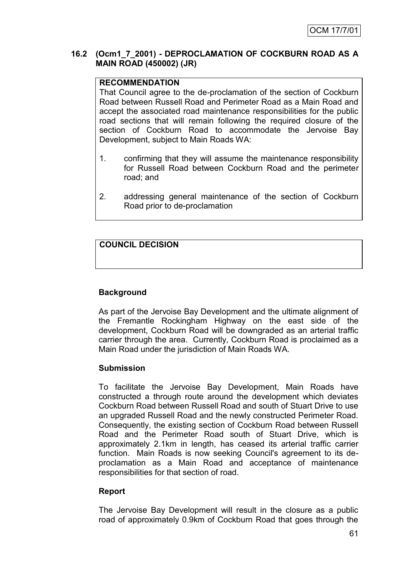# **16.2 (Ocm1\_7\_2001) - DEPROCLAMATION OF COCKBURN ROAD AS A MAIN ROAD (450002) (JR)**

# **RECOMMENDATION**

That Council agree to the de-proclamation of the section of Cockburn Road between Russell Road and Perimeter Road as a Main Road and accept the associated road maintenance responsibilities for the public road sections that will remain following the required closure of the section of Cockburn Road to accommodate the Jervoise Bay Development, subject to Main Roads WA:

- 1. confirming that they will assume the maintenance responsibility for Russell Road between Cockburn Road and the perimeter road; and
- 2. addressing general maintenance of the section of Cockburn Road prior to de-proclamation

# **COUNCIL DECISION**

# **Background**

As part of the Jervoise Bay Development and the ultimate alignment of the Fremantle Rockingham Highway on the east side of the development, Cockburn Road will be downgraded as an arterial traffic carrier through the area. Currently, Cockburn Road is proclaimed as a Main Road under the jurisdiction of Main Roads WA.

# **Submission**

To facilitate the Jervoise Bay Development, Main Roads have constructed a through route around the development which deviates Cockburn Road between Russell Road and south of Stuart Drive to use an upgraded Russell Road and the newly constructed Perimeter Road. Consequently, the existing section of Cockburn Road between Russell Road and the Perimeter Road south of Stuart Drive, which is approximately 2.1km in length, has ceased its arterial traffic carrier function. Main Roads is now seeking Council's agreement to its deproclamation as a Main Road and acceptance of maintenance responsibilities for that section of road.

# **Report**

The Jervoise Bay Development will result in the closure as a public road of approximately 0.9km of Cockburn Road that goes through the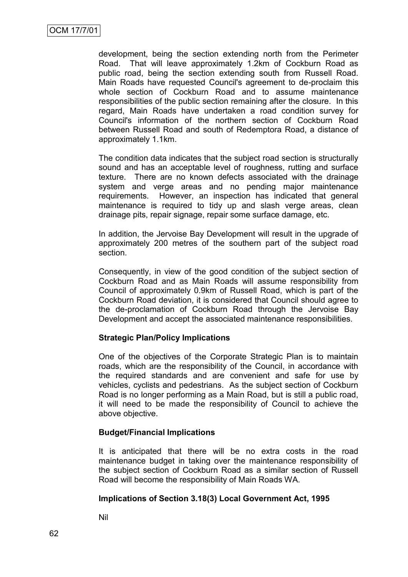development, being the section extending north from the Perimeter Road. That will leave approximately 1.2km of Cockburn Road as public road, being the section extending south from Russell Road. Main Roads have requested Council's agreement to de-proclaim this whole section of Cockburn Road and to assume maintenance responsibilities of the public section remaining after the closure. In this regard, Main Roads have undertaken a road condition survey for Council's information of the northern section of Cockburn Road between Russell Road and south of Redemptora Road, a distance of approximately 1.1km.

The condition data indicates that the subject road section is structurally sound and has an acceptable level of roughness, rutting and surface texture. There are no known defects associated with the drainage system and verge areas and no pending major maintenance requirements. However, an inspection has indicated that general maintenance is required to tidy up and slash verge areas, clean drainage pits, repair signage, repair some surface damage, etc.

In addition, the Jervoise Bay Development will result in the upgrade of approximately 200 metres of the southern part of the subject road section.

Consequently, in view of the good condition of the subject section of Cockburn Road and as Main Roads will assume responsibility from Council of approximately 0.9km of Russell Road, which is part of the Cockburn Road deviation, it is considered that Council should agree to the de-proclamation of Cockburn Road through the Jervoise Bay Development and accept the associated maintenance responsibilities.

# **Strategic Plan/Policy Implications**

One of the objectives of the Corporate Strategic Plan is to maintain roads, which are the responsibility of the Council, in accordance with the required standards and are convenient and safe for use by vehicles, cyclists and pedestrians. As the subject section of Cockburn Road is no longer performing as a Main Road, but is still a public road, it will need to be made the responsibility of Council to achieve the above objective.

# **Budget/Financial Implications**

It is anticipated that there will be no extra costs in the road maintenance budget in taking over the maintenance responsibility of the subject section of Cockburn Road as a similar section of Russell Road will become the responsibility of Main Roads WA.

# **Implications of Section 3.18(3) Local Government Act, 1995**

Nil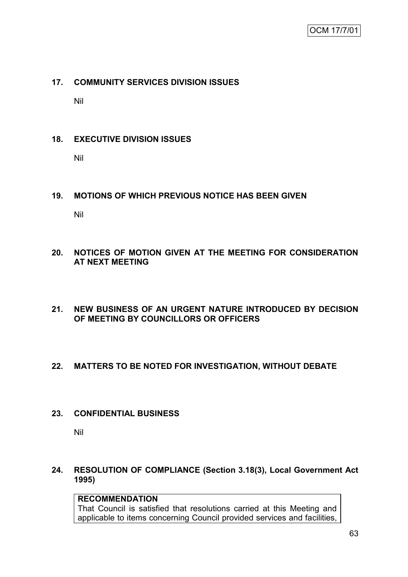# **17. COMMUNITY SERVICES DIVISION ISSUES**

Nil

# **18. EXECUTIVE DIVISION ISSUES**

Nil

# **19. MOTIONS OF WHICH PREVIOUS NOTICE HAS BEEN GIVEN**

Nil

# **20. NOTICES OF MOTION GIVEN AT THE MEETING FOR CONSIDERATION AT NEXT MEETING**

**21. NEW BUSINESS OF AN URGENT NATURE INTRODUCED BY DECISION OF MEETING BY COUNCILLORS OR OFFICERS**

# **22. MATTERS TO BE NOTED FOR INVESTIGATION, WITHOUT DEBATE**

# **23. CONFIDENTIAL BUSINESS**

Nil

# **24. RESOLUTION OF COMPLIANCE (Section 3.18(3), Local Government Act 1995)**

# **RECOMMENDATION**

That Council is satisfied that resolutions carried at this Meeting and applicable to items concerning Council provided services and facilities,